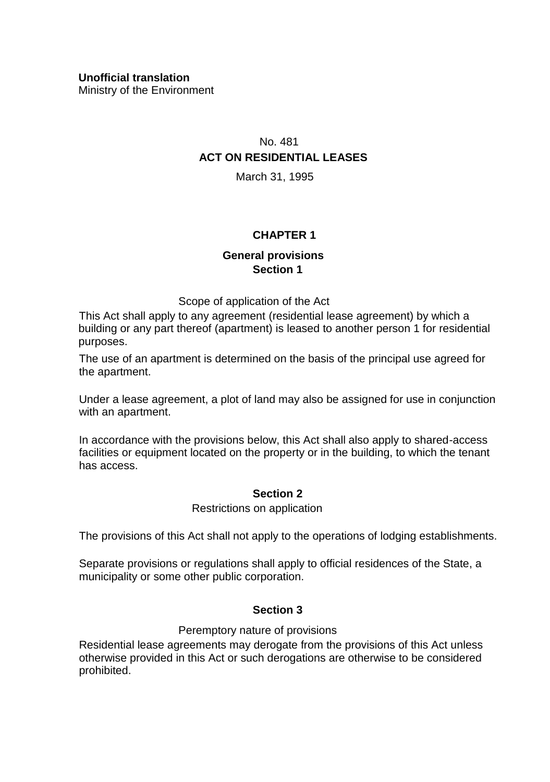Ministry of the Environment

# No. 481 **ACT ON RESIDENTIAL LEASES**

March 31, 1995

## **CHAPTER 1**

## **General provisions Section 1**

Scope of application of the Act

This Act shall apply to any agreement (residential lease agreement) by which a building or any part thereof (apartment) is leased to another person 1 for residential purposes.

The use of an apartment is determined on the basis of the principal use agreed for the apartment.

Under a lease agreement, a plot of land may also be assigned for use in conjunction with an apartment.

In accordance with the provisions below, this Act shall also apply to shared-access facilities or equipment located on the property or in the building, to which the tenant has access.

### **Section 2**

### Restrictions on application

The provisions of this Act shall not apply to the operations of lodging establishments.

Separate provisions or regulations shall apply to official residences of the State, a municipality or some other public corporation.

### **Section 3**

### Peremptory nature of provisions

Residential lease agreements may derogate from the provisions of this Act unless otherwise provided in this Act or such derogations are otherwise to be considered prohibited.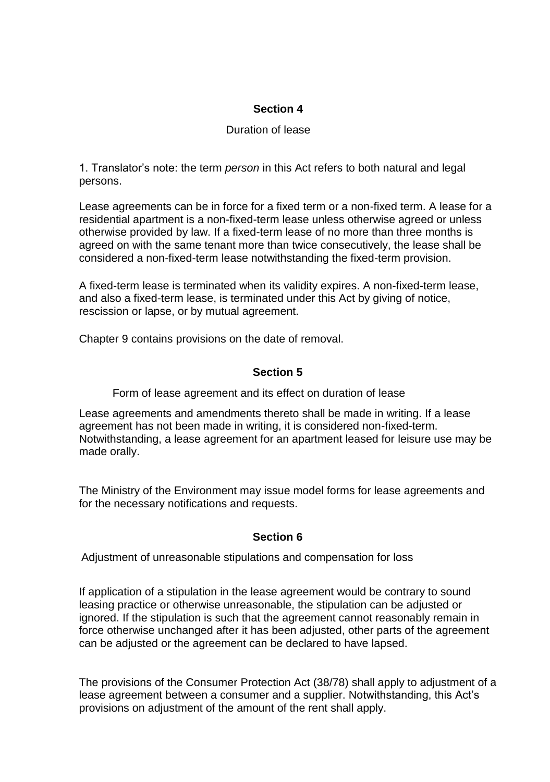### **Section 4**

### Duration of lease

1. Translator's note: the term *person* in this Act refers to both natural and legal persons.

Lease agreements can be in force for a fixed term or a non-fixed term. A lease for a residential apartment is a non-fixed-term lease unless otherwise agreed or unless otherwise provided by law. If a fixed-term lease of no more than three months is agreed on with the same tenant more than twice consecutively, the lease shall be considered a non-fixed-term lease notwithstanding the fixed-term provision.

A fixed-term lease is terminated when its validity expires. A non-fixed-term lease, and also a fixed-term lease, is terminated under this Act by giving of notice, rescission or lapse, or by mutual agreement.

Chapter 9 contains provisions on the date of removal.

### **Section 5**

Form of lease agreement and its effect on duration of lease

Lease agreements and amendments thereto shall be made in writing. If a lease agreement has not been made in writing, it is considered non-fixed-term. Notwithstanding, a lease agreement for an apartment leased for leisure use may be made orally.

The Ministry of the Environment may issue model forms for lease agreements and for the necessary notifications and requests.

### **Section 6**

Adjustment of unreasonable stipulations and compensation for loss

If application of a stipulation in the lease agreement would be contrary to sound leasing practice or otherwise unreasonable, the stipulation can be adjusted or ignored. If the stipulation is such that the agreement cannot reasonably remain in force otherwise unchanged after it has been adjusted, other parts of the agreement can be adjusted or the agreement can be declared to have lapsed.

The provisions of the Consumer Protection Act (38/78) shall apply to adjustment of a lease agreement between a consumer and a supplier. Notwithstanding, this Act's provisions on adjustment of the amount of the rent shall apply.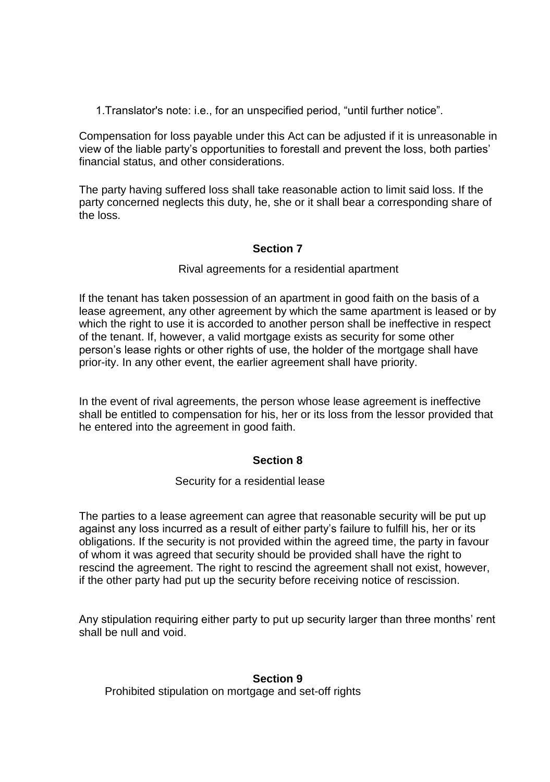1.Translator's note: i.e., for an unspecified period, "until further notice".

Compensation for loss payable under this Act can be adjusted if it is unreasonable in view of the liable party's opportunities to forestall and prevent the loss, both parties' financial status, and other considerations.

The party having suffered loss shall take reasonable action to limit said loss. If the party concerned neglects this duty, he, she or it shall bear a corresponding share of the loss.

## **Section 7**

### Rival agreements for a residential apartment

If the tenant has taken possession of an apartment in good faith on the basis of a lease agreement, any other agreement by which the same apartment is leased or by which the right to use it is accorded to another person shall be ineffective in respect of the tenant. If, however, a valid mortgage exists as security for some other person's lease rights or other rights of use, the holder of the mortgage shall have prior-ity. In any other event, the earlier agreement shall have priority.

In the event of rival agreements, the person whose lease agreement is ineffective shall be entitled to compensation for his, her or its loss from the lessor provided that he entered into the agreement in good faith.

### **Section 8**

#### Security for a residential lease

The parties to a lease agreement can agree that reasonable security will be put up against any loss incurred as a result of either party's failure to fulfill his, her or its obligations. If the security is not provided within the agreed time, the party in favour of whom it was agreed that security should be provided shall have the right to rescind the agreement. The right to rescind the agreement shall not exist, however, if the other party had put up the security before receiving notice of rescission.

Any stipulation requiring either party to put up security larger than three months' rent shall be null and void.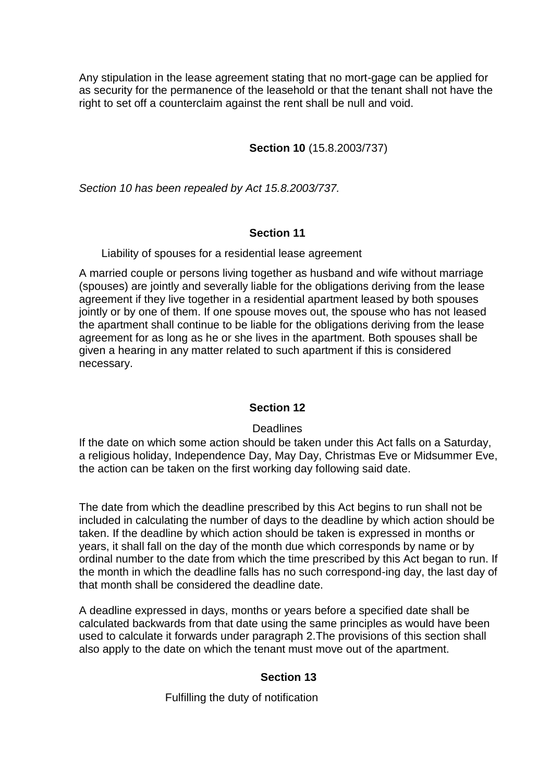Any stipulation in the lease agreement stating that no mort-gage can be applied for as security for the permanence of the leasehold or that the tenant shall not have the right to set off a counterclaim against the rent shall be null and void.

## **Section 10** (15.8.2003/737)

*Section 10 has been repealed by Act 15.8.2003/737.* 

## **Section 11**

Liability of spouses for a residential lease agreement

A married couple or persons living together as husband and wife without marriage (spouses) are jointly and severally liable for the obligations deriving from the lease agreement if they live together in a residential apartment leased by both spouses jointly or by one of them. If one spouse moves out, the spouse who has not leased the apartment shall continue to be liable for the obligations deriving from the lease agreement for as long as he or she lives in the apartment. Both spouses shall be given a hearing in any matter related to such apartment if this is considered necessary.

## **Section 12**

### **Deadlines**

If the date on which some action should be taken under this Act falls on a Saturday, a religious holiday, Independence Day, May Day, Christmas Eve or Midsummer Eve, the action can be taken on the first working day following said date.

The date from which the deadline prescribed by this Act begins to run shall not be included in calculating the number of days to the deadline by which action should be taken. If the deadline by which action should be taken is expressed in months or years, it shall fall on the day of the month due which corresponds by name or by ordinal number to the date from which the time prescribed by this Act began to run. If the month in which the deadline falls has no such correspond-ing day, the last day of that month shall be considered the deadline date.

A deadline expressed in days, months or years before a specified date shall be calculated backwards from that date using the same principles as would have been used to calculate it forwards under paragraph 2.The provisions of this section shall also apply to the date on which the tenant must move out of the apartment.

## **Section 13**

Fulfilling the duty of notification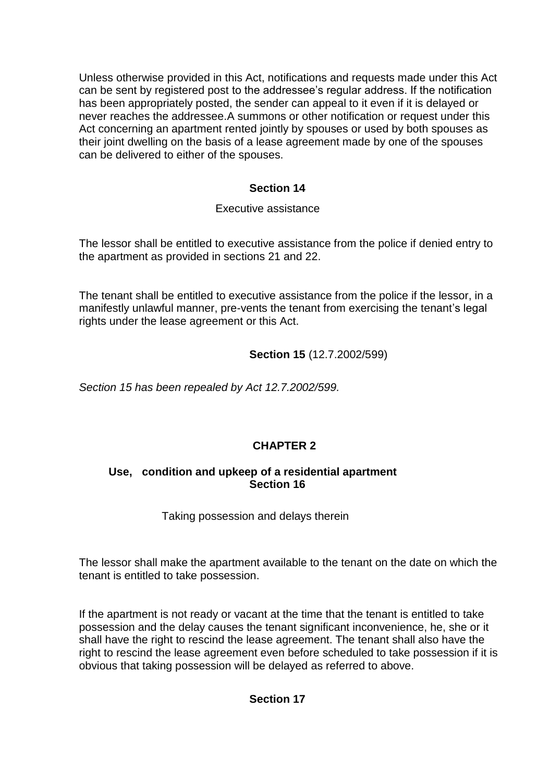Unless otherwise provided in this Act, notifications and requests made under this Act can be sent by registered post to the addressee's regular address. If the notification has been appropriately posted, the sender can appeal to it even if it is delayed or never reaches the addressee.A summons or other notification or request under this Act concerning an apartment rented jointly by spouses or used by both spouses as their joint dwelling on the basis of a lease agreement made by one of the spouses can be delivered to either of the spouses.

## **Section 14**

## Executive assistance

The lessor shall be entitled to executive assistance from the police if denied entry to the apartment as provided in sections 21 and 22.

The tenant shall be entitled to executive assistance from the police if the lessor, in a manifestly unlawful manner, pre-vents the tenant from exercising the tenant's legal rights under the lease agreement or this Act.

## **Section 15** (12.7.2002/599)

*Section 15 has been repealed by Act 12.7.2002/599.* 

## **CHAPTER 2**

## **Use, condition and upkeep of a residential apartment Section 16**

Taking possession and delays therein

The lessor shall make the apartment available to the tenant on the date on which the tenant is entitled to take possession.

If the apartment is not ready or vacant at the time that the tenant is entitled to take possession and the delay causes the tenant significant inconvenience, he, she or it shall have the right to rescind the lease agreement. The tenant shall also have the right to rescind the lease agreement even before scheduled to take possession if it is obvious that taking possession will be delayed as referred to above.

## **Section 17**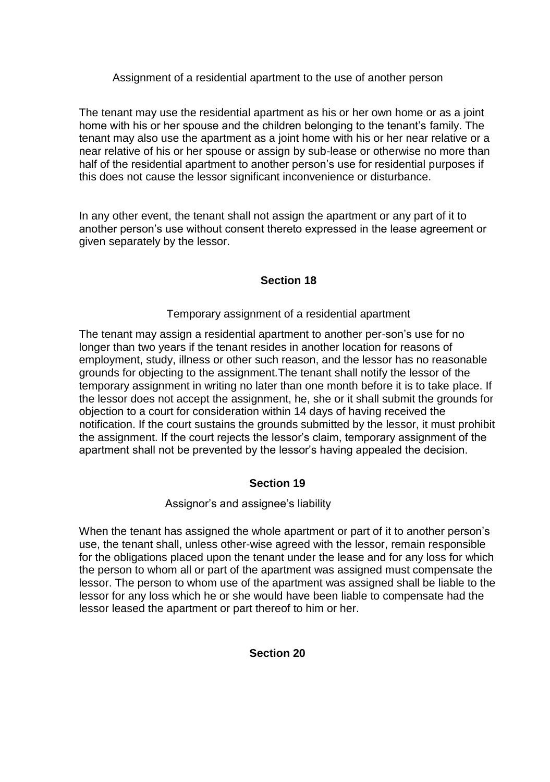Assignment of a residential apartment to the use of another person

The tenant may use the residential apartment as his or her own home or as a joint home with his or her spouse and the children belonging to the tenant's family. The tenant may also use the apartment as a joint home with his or her near relative or a near relative of his or her spouse or assign by sub-lease or otherwise no more than half of the residential apartment to another person's use for residential purposes if this does not cause the lessor significant inconvenience or disturbance.

In any other event, the tenant shall not assign the apartment or any part of it to another person's use without consent thereto expressed in the lease agreement or given separately by the lessor.

## **Section 18**

## Temporary assignment of a residential apartment

The tenant may assign a residential apartment to another per-son's use for no longer than two years if the tenant resides in another location for reasons of employment, study, illness or other such reason, and the lessor has no reasonable grounds for objecting to the assignment.The tenant shall notify the lessor of the temporary assignment in writing no later than one month before it is to take place. If the lessor does not accept the assignment, he, she or it shall submit the grounds for objection to a court for consideration within 14 days of having received the notification. If the court sustains the grounds submitted by the lessor, it must prohibit the assignment. If the court rejects the lessor's claim, temporary assignment of the apartment shall not be prevented by the lessor's having appealed the decision.

## **Section 19**

## Assignor's and assignee's liability

When the tenant has assigned the whole apartment or part of it to another person's use, the tenant shall, unless other-wise agreed with the lessor, remain responsible for the obligations placed upon the tenant under the lease and for any loss for which the person to whom all or part of the apartment was assigned must compensate the lessor. The person to whom use of the apartment was assigned shall be liable to the lessor for any loss which he or she would have been liable to compensate had the lessor leased the apartment or part thereof to him or her.

### **Section 20**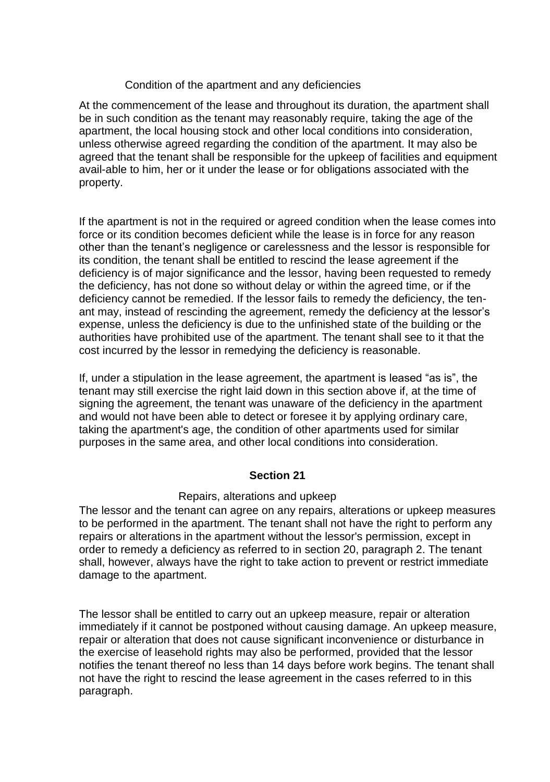### Condition of the apartment and any deficiencies

At the commencement of the lease and throughout its duration, the apartment shall be in such condition as the tenant may reasonably require, taking the age of the apartment, the local housing stock and other local conditions into consideration, unless otherwise agreed regarding the condition of the apartment. It may also be agreed that the tenant shall be responsible for the upkeep of facilities and equipment avail-able to him, her or it under the lease or for obligations associated with the property.

If the apartment is not in the required or agreed condition when the lease comes into force or its condition becomes deficient while the lease is in force for any reason other than the tenant's negligence or carelessness and the lessor is responsible for its condition, the tenant shall be entitled to rescind the lease agreement if the deficiency is of major significance and the lessor, having been requested to remedy the deficiency, has not done so without delay or within the agreed time, or if the deficiency cannot be remedied. If the lessor fails to remedy the deficiency, the tenant may, instead of rescinding the agreement, remedy the deficiency at the lessor's expense, unless the deficiency is due to the unfinished state of the building or the authorities have prohibited use of the apartment. The tenant shall see to it that the cost incurred by the lessor in remedying the deficiency is reasonable.

If, under a stipulation in the lease agreement, the apartment is leased "as is", the tenant may still exercise the right laid down in this section above if, at the time of signing the agreement, the tenant was unaware of the deficiency in the apartment and would not have been able to detect or foresee it by applying ordinary care, taking the apartment's age, the condition of other apartments used for similar purposes in the same area, and other local conditions into consideration.

### **Section 21**

### Repairs, alterations and upkeep

The lessor and the tenant can agree on any repairs, alterations or upkeep measures to be performed in the apartment. The tenant shall not have the right to perform any repairs or alterations in the apartment without the lessor's permission, except in order to remedy a deficiency as referred to in section 20, paragraph 2. The tenant shall, however, always have the right to take action to prevent or restrict immediate damage to the apartment.

The lessor shall be entitled to carry out an upkeep measure, repair or alteration immediately if it cannot be postponed without causing damage. An upkeep measure, repair or alteration that does not cause significant inconvenience or disturbance in the exercise of leasehold rights may also be performed, provided that the lessor notifies the tenant thereof no less than 14 days before work begins. The tenant shall not have the right to rescind the lease agreement in the cases referred to in this paragraph.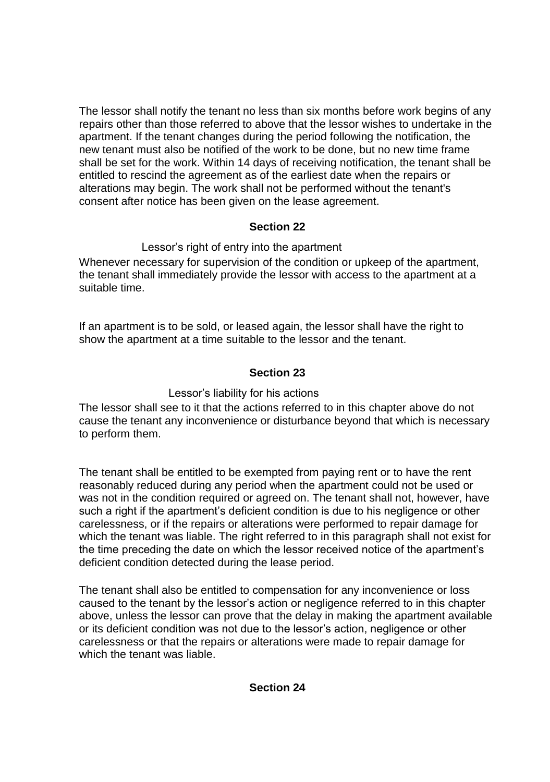The lessor shall notify the tenant no less than six months before work begins of any repairs other than those referred to above that the lessor wishes to undertake in the apartment. If the tenant changes during the period following the notification, the new tenant must also be notified of the work to be done, but no new time frame shall be set for the work. Within 14 days of receiving notification, the tenant shall be entitled to rescind the agreement as of the earliest date when the repairs or alterations may begin. The work shall not be performed without the tenant's consent after notice has been given on the lease agreement.

## **Section 22**

# Lessor's right of entry into the apartment Whenever necessary for supervision of the condition or upkeep of the apartment,

the tenant shall immediately provide the lessor with access to the apartment at a suitable time.

If an apartment is to be sold, or leased again, the lessor shall have the right to show the apartment at a time suitable to the lessor and the tenant.

# **Section 23**

# Lessor's liability for his actions

The lessor shall see to it that the actions referred to in this chapter above do not cause the tenant any inconvenience or disturbance beyond that which is necessary to perform them.

The tenant shall be entitled to be exempted from paying rent or to have the rent reasonably reduced during any period when the apartment could not be used or was not in the condition required or agreed on. The tenant shall not, however, have such a right if the apartment's deficient condition is due to his negligence or other carelessness, or if the repairs or alterations were performed to repair damage for which the tenant was liable. The right referred to in this paragraph shall not exist for the time preceding the date on which the lessor received notice of the apartment's deficient condition detected during the lease period.

The tenant shall also be entitled to compensation for any inconvenience or loss caused to the tenant by the lessor's action or negligence referred to in this chapter above, unless the lessor can prove that the delay in making the apartment available or its deficient condition was not due to the lessor's action, negligence or other carelessness or that the repairs or alterations were made to repair damage for which the tenant was liable.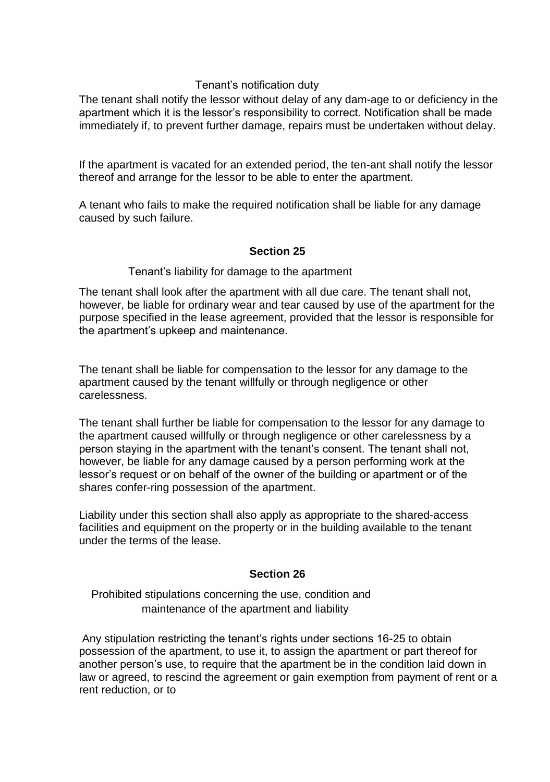### Tenant's notification duty

The tenant shall notify the lessor without delay of any dam-age to or deficiency in the apartment which it is the lessor's responsibility to correct. Notification shall be made immediately if, to prevent further damage, repairs must be undertaken without delay.

If the apartment is vacated for an extended period, the ten-ant shall notify the lessor thereof and arrange for the lessor to be able to enter the apartment.

A tenant who fails to make the required notification shall be liable for any damage caused by such failure.

### **Section 25**

Tenant's liability for damage to the apartment

The tenant shall look after the apartment with all due care. The tenant shall not, however, be liable for ordinary wear and tear caused by use of the apartment for the purpose specified in the lease agreement, provided that the lessor is responsible for the apartment's upkeep and maintenance.

The tenant shall be liable for compensation to the lessor for any damage to the apartment caused by the tenant willfully or through negligence or other carelessness.

The tenant shall further be liable for compensation to the lessor for any damage to the apartment caused willfully or through negligence or other carelessness by a person staying in the apartment with the tenant's consent. The tenant shall not, however, be liable for any damage caused by a person performing work at the lessor's request or on behalf of the owner of the building or apartment or of the shares confer-ring possession of the apartment.

Liability under this section shall also apply as appropriate to the shared-access facilities and equipment on the property or in the building available to the tenant under the terms of the lease.

### **Section 26**

Prohibited stipulations concerning the use, condition and maintenance of the apartment and liability

Any stipulation restricting the tenant's rights under sections 16-25 to obtain possession of the apartment, to use it, to assign the apartment or part thereof for another person's use, to require that the apartment be in the condition laid down in law or agreed, to rescind the agreement or gain exemption from payment of rent or a rent reduction, or to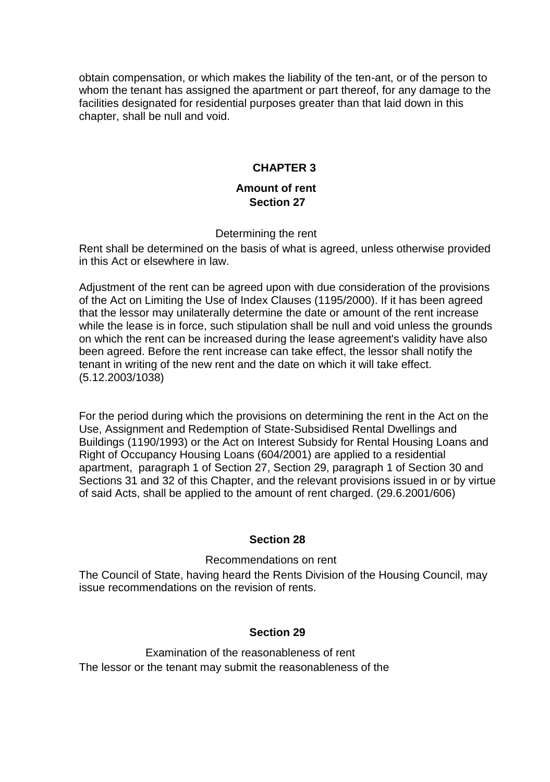obtain compensation, or which makes the liability of the ten-ant, or of the person to whom the tenant has assigned the apartment or part thereof, for any damage to the facilities designated for residential purposes greater than that laid down in this chapter, shall be null and void.

## **CHAPTER 3**

### **Amount of rent Section 27**

### Determining the rent

Rent shall be determined on the basis of what is agreed, unless otherwise provided in this Act or elsewhere in law.

Adjustment of the rent can be agreed upon with due consideration of the provisions of the Act on Limiting the Use of Index Clauses (1195/2000). If it has been agreed that the lessor may unilaterally determine the date or amount of the rent increase while the lease is in force, such stipulation shall be null and void unless the grounds on which the rent can be increased during the lease agreement's validity have also been agreed. Before the rent increase can take effect, the lessor shall notify the tenant in writing of the new rent and the date on which it will take effect. (5.12.2003/1038)

For the period during which the provisions on determining the rent in the Act on the Use, Assignment and Redemption of State-Subsidised Rental Dwellings and Buildings (1190/1993) or the Act on Interest Subsidy for Rental Housing Loans and Right of Occupancy Housing Loans (604/2001) are applied to a residential apartment, paragraph 1 of Section 27, Section 29, paragraph 1 of Section 30 and Sections 31 and 32 of this Chapter, and the relevant provisions issued in or by virtue of said Acts, shall be applied to the amount of rent charged. (29.6.2001/606)

### **Section 28**

Recommendations on rent

The Council of State, having heard the Rents Division of the Housing Council, may issue recommendations on the revision of rents.

### **Section 29**

Examination of the reasonableness of rent The lessor or the tenant may submit the reasonableness of the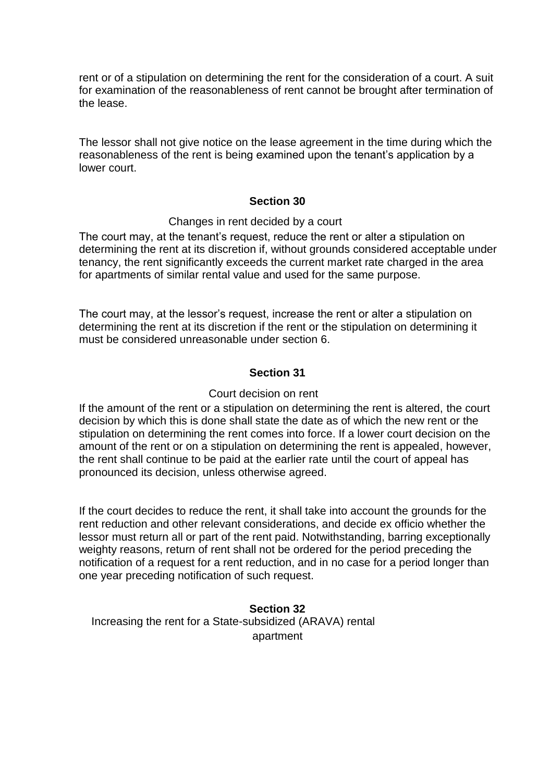rent or of a stipulation on determining the rent for the consideration of a court. A suit for examination of the reasonableness of rent cannot be brought after termination of the lease.

The lessor shall not give notice on the lease agreement in the time during which the reasonableness of the rent is being examined upon the tenant's application by a lower court.

### **Section 30**

#### Changes in rent decided by a court

The court may, at the tenant's request, reduce the rent or alter a stipulation on determining the rent at its discretion if, without grounds considered acceptable under tenancy, the rent significantly exceeds the current market rate charged in the area for apartments of similar rental value and used for the same purpose.

The court may, at the lessor's request, increase the rent or alter a stipulation on determining the rent at its discretion if the rent or the stipulation on determining it must be considered unreasonable under section 6.

### **Section 31**

#### Court decision on rent

If the amount of the rent or a stipulation on determining the rent is altered, the court decision by which this is done shall state the date as of which the new rent or the stipulation on determining the rent comes into force. If a lower court decision on the amount of the rent or on a stipulation on determining the rent is appealed, however, the rent shall continue to be paid at the earlier rate until the court of appeal has pronounced its decision, unless otherwise agreed.

If the court decides to reduce the rent, it shall take into account the grounds for the rent reduction and other relevant considerations, and decide ex officio whether the lessor must return all or part of the rent paid. Notwithstanding, barring exceptionally weighty reasons, return of rent shall not be ordered for the period preceding the notification of a request for a rent reduction, and in no case for a period longer than one year preceding notification of such request.

**Section 32** Increasing the rent for a State-subsidized (ARAVA) rental apartment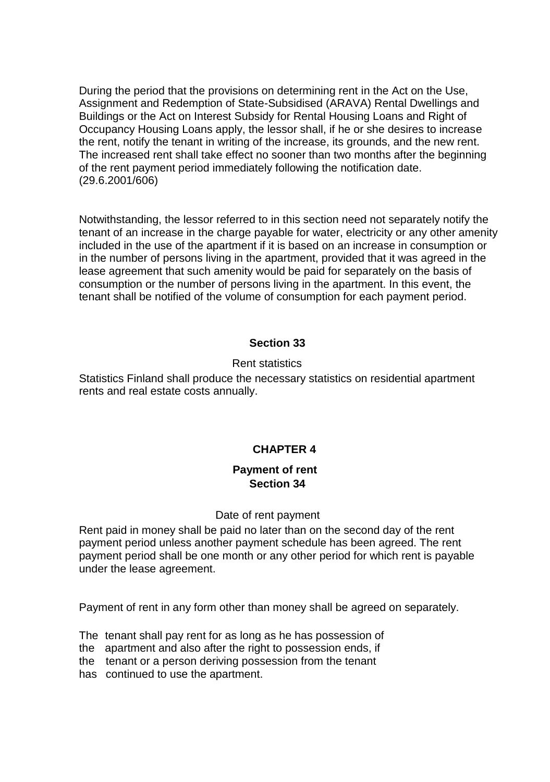During the period that the provisions on determining rent in the Act on the Use, Assignment and Redemption of State-Subsidised (ARAVA) Rental Dwellings and Buildings or the Act on Interest Subsidy for Rental Housing Loans and Right of Occupancy Housing Loans apply, the lessor shall, if he or she desires to increase the rent, notify the tenant in writing of the increase, its grounds, and the new rent. The increased rent shall take effect no sooner than two months after the beginning of the rent payment period immediately following the notification date. (29.6.2001/606)

Notwithstanding, the lessor referred to in this section need not separately notify the tenant of an increase in the charge payable for water, electricity or any other amenity included in the use of the apartment if it is based on an increase in consumption or in the number of persons living in the apartment, provided that it was agreed in the lease agreement that such amenity would be paid for separately on the basis of consumption or the number of persons living in the apartment. In this event, the tenant shall be notified of the volume of consumption for each payment period.

### **Section 33**

### Rent statistics

Statistics Finland shall produce the necessary statistics on residential apartment rents and real estate costs annually.

### **CHAPTER 4**

### **Payment of rent Section 34**

#### Date of rent payment

Rent paid in money shall be paid no later than on the second day of the rent payment period unless another payment schedule has been agreed. The rent payment period shall be one month or any other period for which rent is payable under the lease agreement.

Payment of rent in any form other than money shall be agreed on separately.

The tenant shall pay rent for as long as he has possession of the apartment and also after the right to possession ends, if

the tenant or a person deriving possession from the tenant

has continued to use the apartment.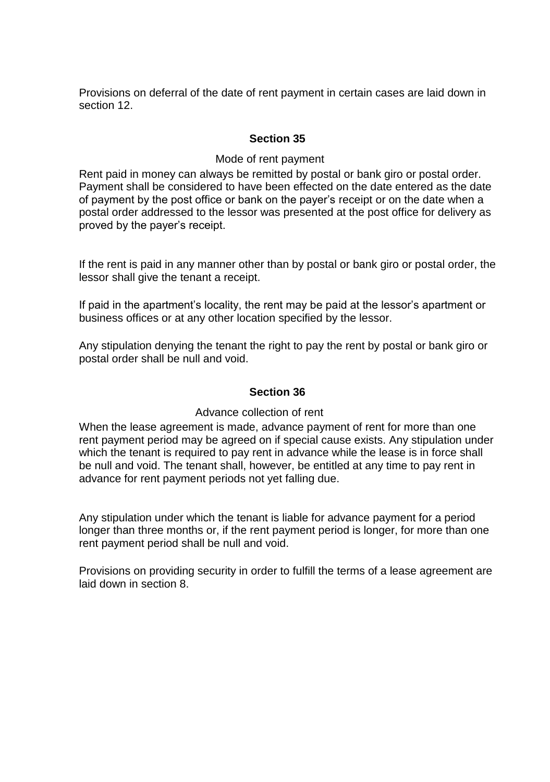Provisions on deferral of the date of rent payment in certain cases are laid down in section 12.

## **Section 35**

### Mode of rent payment

Rent paid in money can always be remitted by postal or bank giro or postal order. Payment shall be considered to have been effected on the date entered as the date of payment by the post office or bank on the payer's receipt or on the date when a postal order addressed to the lessor was presented at the post office for delivery as proved by the payer's receipt.

If the rent is paid in any manner other than by postal or bank giro or postal order, the lessor shall give the tenant a receipt.

If paid in the apartment's locality, the rent may be paid at the lessor's apartment or business offices or at any other location specified by the lessor.

Any stipulation denying the tenant the right to pay the rent by postal or bank giro or postal order shall be null and void.

### **Section 36**

### Advance collection of rent

When the lease agreement is made, advance payment of rent for more than one rent payment period may be agreed on if special cause exists. Any stipulation under which the tenant is required to pay rent in advance while the lease is in force shall be null and void. The tenant shall, however, be entitled at any time to pay rent in advance for rent payment periods not yet falling due.

Any stipulation under which the tenant is liable for advance payment for a period longer than three months or, if the rent payment period is longer, for more than one rent payment period shall be null and void.

Provisions on providing security in order to fulfill the terms of a lease agreement are laid down in section 8.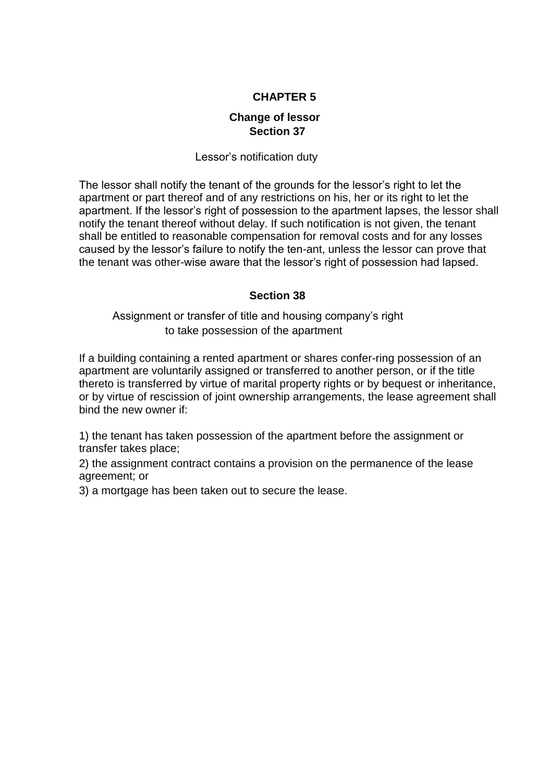## **CHAPTER 5**

## **Change of lessor Section 37**

## Lessor's notification duty

The lessor shall notify the tenant of the grounds for the lessor's right to let the apartment or part thereof and of any restrictions on his, her or its right to let the apartment. If the lessor's right of possession to the apartment lapses, the lessor shall notify the tenant thereof without delay. If such notification is not given, the tenant shall be entitled to reasonable compensation for removal costs and for any losses caused by the lessor's failure to notify the ten-ant, unless the lessor can prove that the tenant was other-wise aware that the lessor's right of possession had lapsed.

## **Section 38**

Assignment or transfer of title and housing company's right to take possession of the apartment

If a building containing a rented apartment or shares confer-ring possession of an apartment are voluntarily assigned or transferred to another person, or if the title thereto is transferred by virtue of marital property rights or by bequest or inheritance, or by virtue of rescission of joint ownership arrangements, the lease agreement shall bind the new owner if:

1) the tenant has taken possession of the apartment before the assignment or transfer takes place;

2) the assignment contract contains a provision on the permanence of the lease agreement; or

3) a mortgage has been taken out to secure the lease.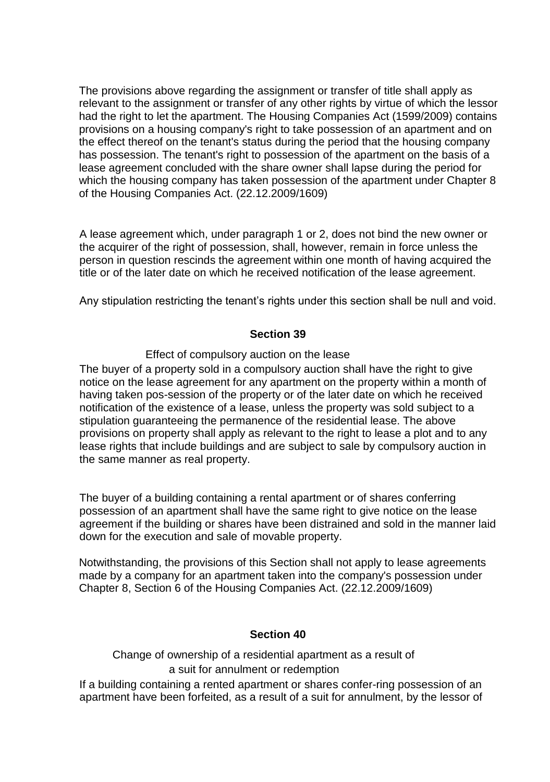The provisions above regarding the assignment or transfer of title shall apply as relevant to the assignment or transfer of any other rights by virtue of which the lessor had the right to let the apartment. The Housing Companies Act (1599/2009) contains provisions on a housing company's right to take possession of an apartment and on the effect thereof on the tenant's status during the period that the housing company has possession. The tenant's right to possession of the apartment on the basis of a lease agreement concluded with the share owner shall lapse during the period for which the housing company has taken possession of the apartment under Chapter 8 of the Housing Companies Act. (22.12.2009/1609)

A lease agreement which, under paragraph 1 or 2, does not bind the new owner or the acquirer of the right of possession, shall, however, remain in force unless the person in question rescinds the agreement within one month of having acquired the title or of the later date on which he received notification of the lease agreement.

Any stipulation restricting the tenant's rights under this section shall be null and void.

### **Section 39**

### Effect of compulsory auction on the lease

The buyer of a property sold in a compulsory auction shall have the right to give notice on the lease agreement for any apartment on the property within a month of having taken pos-session of the property or of the later date on which he received notification of the existence of a lease, unless the property was sold subject to a stipulation guaranteeing the permanence of the residential lease. The above provisions on property shall apply as relevant to the right to lease a plot and to any lease rights that include buildings and are subject to sale by compulsory auction in the same manner as real property.

The buyer of a building containing a rental apartment or of shares conferring possession of an apartment shall have the same right to give notice on the lease agreement if the building or shares have been distrained and sold in the manner laid down for the execution and sale of movable property.

Notwithstanding, the provisions of this Section shall not apply to lease agreements made by a company for an apartment taken into the company's possession under Chapter 8, Section 6 of the Housing Companies Act. (22.12.2009/1609)

### **Section 40**

Change of ownership of a residential apartment as a result of a suit for annulment or redemption

If a building containing a rented apartment or shares confer-ring possession of an apartment have been forfeited, as a result of a suit for annulment, by the lessor of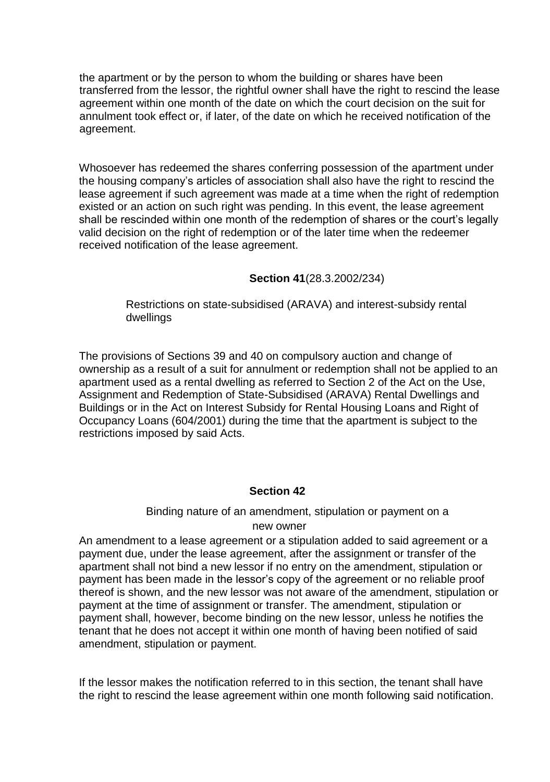the apartment or by the person to whom the building or shares have been transferred from the lessor, the rightful owner shall have the right to rescind the lease agreement within one month of the date on which the court decision on the suit for annulment took effect or, if later, of the date on which he received notification of the agreement.

Whosoever has redeemed the shares conferring possession of the apartment under the housing company's articles of association shall also have the right to rescind the lease agreement if such agreement was made at a time when the right of redemption existed or an action on such right was pending. In this event, the lease agreement shall be rescinded within one month of the redemption of shares or the court's legally valid decision on the right of redemption or of the later time when the redeemer received notification of the lease agreement.

## **Section 41**(28.3.2002/234)

Restrictions on state-subsidised (ARAVA) and interest-subsidy rental dwellings

The provisions of Sections 39 and 40 on compulsory auction and change of ownership as a result of a suit for annulment or redemption shall not be applied to an apartment used as a rental dwelling as referred to Section 2 of the Act on the Use, Assignment and Redemption of State-Subsidised (ARAVA) Rental Dwellings and Buildings or in the Act on Interest Subsidy for Rental Housing Loans and Right of Occupancy Loans (604/2001) during the time that the apartment is subject to the restrictions imposed by said Acts.

### **Section 42**

# Binding nature of an amendment, stipulation or payment on a

### new owner

An amendment to a lease agreement or a stipulation added to said agreement or a payment due, under the lease agreement, after the assignment or transfer of the apartment shall not bind a new lessor if no entry on the amendment, stipulation or payment has been made in the lessor's copy of the agreement or no reliable proof thereof is shown, and the new lessor was not aware of the amendment, stipulation or payment at the time of assignment or transfer. The amendment, stipulation or payment shall, however, become binding on the new lessor, unless he notifies the tenant that he does not accept it within one month of having been notified of said amendment, stipulation or payment.

If the lessor makes the notification referred to in this section, the tenant shall have the right to rescind the lease agreement within one month following said notification.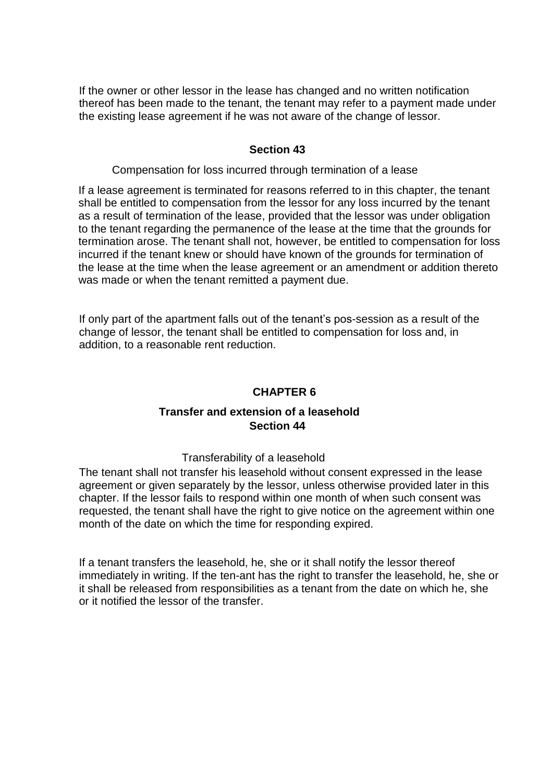If the owner or other lessor in the lease has changed and no written notification thereof has been made to the tenant, the tenant may refer to a payment made under the existing lease agreement if he was not aware of the change of lessor.

### **Section 43**

Compensation for loss incurred through termination of a lease

If a lease agreement is terminated for reasons referred to in this chapter, the tenant shall be entitled to compensation from the lessor for any loss incurred by the tenant as a result of termination of the lease, provided that the lessor was under obligation to the tenant regarding the permanence of the lease at the time that the grounds for termination arose. The tenant shall not, however, be entitled to compensation for loss incurred if the tenant knew or should have known of the grounds for termination of the lease at the time when the lease agreement or an amendment or addition thereto was made or when the tenant remitted a payment due.

If only part of the apartment falls out of the tenant's pos-session as a result of the change of lessor, the tenant shall be entitled to compensation for loss and, in addition, to a reasonable rent reduction.

### **CHAPTER 6**

## **Transfer and extension of a leasehold Section 44**

#### Transferability of a leasehold

The tenant shall not transfer his leasehold without consent expressed in the lease agreement or given separately by the lessor, unless otherwise provided later in this chapter. If the lessor fails to respond within one month of when such consent was requested, the tenant shall have the right to give notice on the agreement within one month of the date on which the time for responding expired.

If a tenant transfers the leasehold, he, she or it shall notify the lessor thereof immediately in writing. If the ten-ant has the right to transfer the leasehold, he, she or it shall be released from responsibilities as a tenant from the date on which he, she or it notified the lessor of the transfer.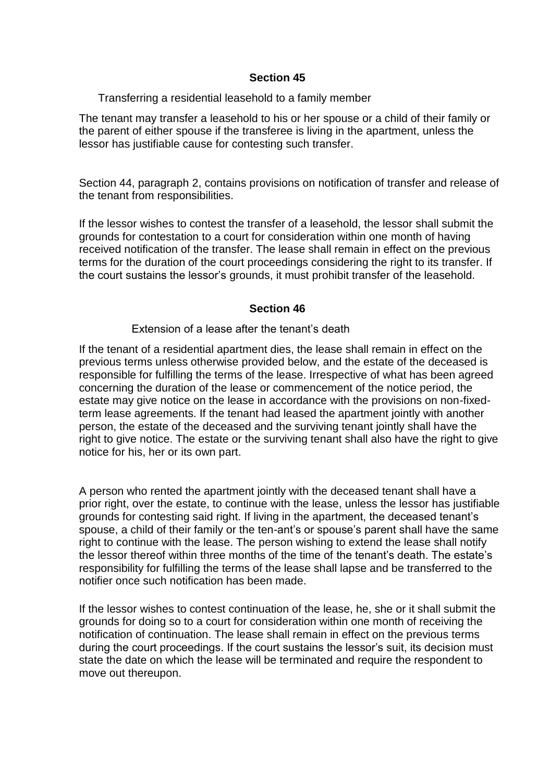### **Section 45**

Transferring a residential leasehold to a family member

The tenant may transfer a leasehold to his or her spouse or a child of their family or the parent of either spouse if the transferee is living in the apartment, unless the lessor has justifiable cause for contesting such transfer.

Section 44, paragraph 2, contains provisions on notification of transfer and release of the tenant from responsibilities.

If the lessor wishes to contest the transfer of a leasehold, the lessor shall submit the grounds for contestation to a court for consideration within one month of having received notification of the transfer. The lease shall remain in effect on the previous terms for the duration of the court proceedings considering the right to its transfer. If the court sustains the lessor's grounds, it must prohibit transfer of the leasehold.

## **Section 46**

### Extension of a lease after the tenant's death

If the tenant of a residential apartment dies, the lease shall remain in effect on the previous terms unless otherwise provided below, and the estate of the deceased is responsible for fulfilling the terms of the lease. Irrespective of what has been agreed concerning the duration of the lease or commencement of the notice period, the estate may give notice on the lease in accordance with the provisions on non-fixedterm lease agreements. If the tenant had leased the apartment jointly with another person, the estate of the deceased and the surviving tenant jointly shall have the right to give notice. The estate or the surviving tenant shall also have the right to give notice for his, her or its own part.

A person who rented the apartment jointly with the deceased tenant shall have a prior right, over the estate, to continue with the lease, unless the lessor has justifiable grounds for contesting said right. If living in the apartment, the deceased tenant's spouse, a child of their family or the ten-ant's or spouse's parent shall have the same right to continue with the lease. The person wishing to extend the lease shall notify the lessor thereof within three months of the time of the tenant's death. The estate's responsibility for fulfilling the terms of the lease shall lapse and be transferred to the notifier once such notification has been made.

If the lessor wishes to contest continuation of the lease, he, she or it shall submit the grounds for doing so to a court for consideration within one month of receiving the notification of continuation. The lease shall remain in effect on the previous terms during the court proceedings. If the court sustains the lessor's suit, its decision must state the date on which the lease will be terminated and require the respondent to move out thereupon.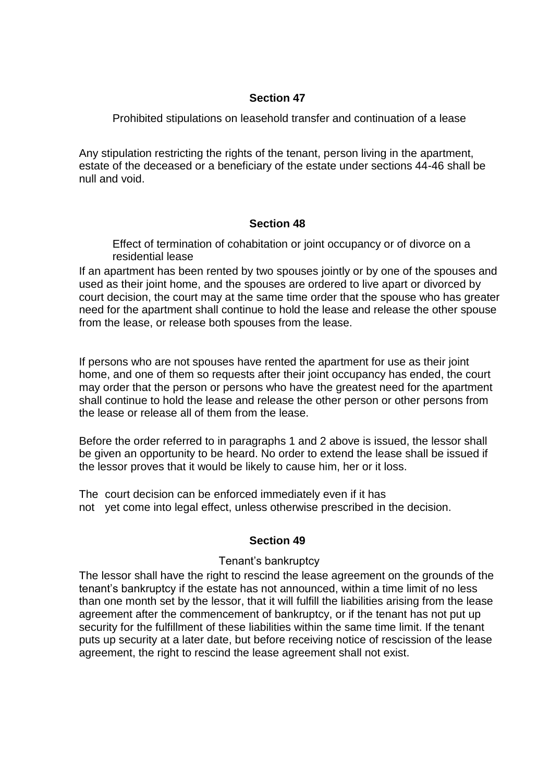### **Section 47**

Prohibited stipulations on leasehold transfer and continuation of a lease

Any stipulation restricting the rights of the tenant, person living in the apartment, estate of the deceased or a beneficiary of the estate under sections 44-46 shall be null and void.

### **Section 48**

Effect of termination of cohabitation or joint occupancy or of divorce on a residential lease

If an apartment has been rented by two spouses jointly or by one of the spouses and used as their joint home, and the spouses are ordered to live apart or divorced by court decision, the court may at the same time order that the spouse who has greater need for the apartment shall continue to hold the lease and release the other spouse from the lease, or release both spouses from the lease.

If persons who are not spouses have rented the apartment for use as their joint home, and one of them so requests after their joint occupancy has ended, the court may order that the person or persons who have the greatest need for the apartment shall continue to hold the lease and release the other person or other persons from the lease or release all of them from the lease.

Before the order referred to in paragraphs 1 and 2 above is issued, the lessor shall be given an opportunity to be heard. No order to extend the lease shall be issued if the lessor proves that it would be likely to cause him, her or it loss.

The court decision can be enforced immediately even if it has not yet come into legal effect, unless otherwise prescribed in the decision.

## **Section 49**

### Tenant's bankruptcy

The lessor shall have the right to rescind the lease agreement on the grounds of the tenant's bankruptcy if the estate has not announced, within a time limit of no less than one month set by the lessor, that it will fulfill the liabilities arising from the lease agreement after the commencement of bankruptcy, or if the tenant has not put up security for the fulfillment of these liabilities within the same time limit. If the tenant puts up security at a later date, but before receiving notice of rescission of the lease agreement, the right to rescind the lease agreement shall not exist.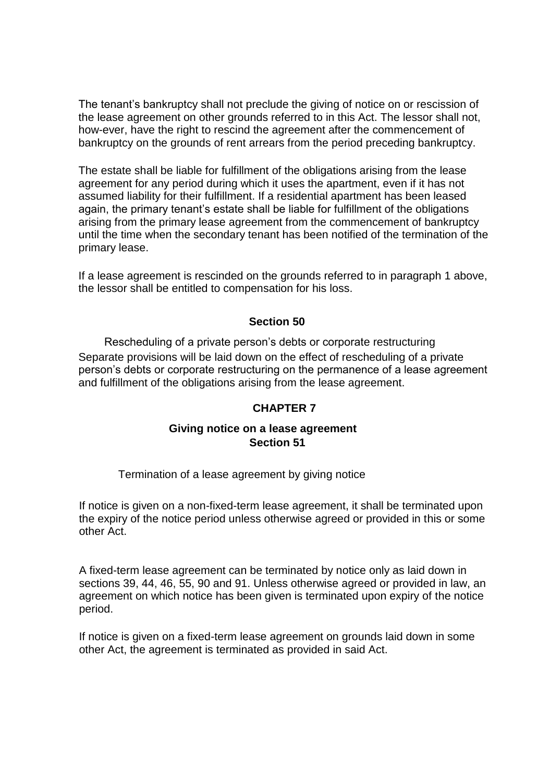The tenant's bankruptcy shall not preclude the giving of notice on or rescission of the lease agreement on other grounds referred to in this Act. The lessor shall not, how-ever, have the right to rescind the agreement after the commencement of bankruptcy on the grounds of rent arrears from the period preceding bankruptcy.

The estate shall be liable for fulfillment of the obligations arising from the lease agreement for any period during which it uses the apartment, even if it has not assumed liability for their fulfillment. If a residential apartment has been leased again, the primary tenant's estate shall be liable for fulfillment of the obligations arising from the primary lease agreement from the commencement of bankruptcy until the time when the secondary tenant has been notified of the termination of the primary lease.

If a lease agreement is rescinded on the grounds referred to in paragraph 1 above, the lessor shall be entitled to compensation for his loss.

## **Section 50**

Rescheduling of a private person's debts or corporate restructuring Separate provisions will be laid down on the effect of rescheduling of a private person's debts or corporate restructuring on the permanence of a lease agreement and fulfillment of the obligations arising from the lease agreement.

### **CHAPTER 7**

## **Giving notice on a lease agreement Section 51**

### Termination of a lease agreement by giving notice

If notice is given on a non-fixed-term lease agreement, it shall be terminated upon the expiry of the notice period unless otherwise agreed or provided in this or some other Act.

A fixed-term lease agreement can be terminated by notice only as laid down in sections 39, 44, 46, 55, 90 and 91. Unless otherwise agreed or provided in law, an agreement on which notice has been given is terminated upon expiry of the notice period.

If notice is given on a fixed-term lease agreement on grounds laid down in some other Act, the agreement is terminated as provided in said Act.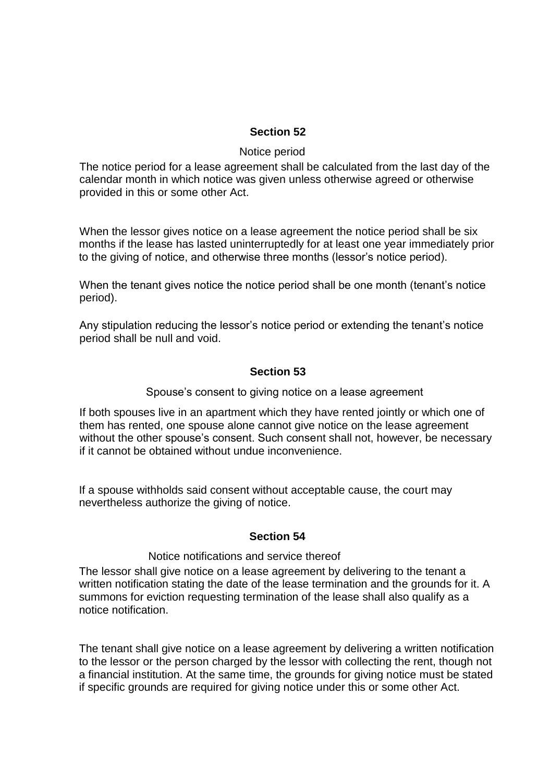### **Section 52**

#### Notice period

The notice period for a lease agreement shall be calculated from the last day of the calendar month in which notice was given unless otherwise agreed or otherwise provided in this or some other Act.

When the lessor gives notice on a lease agreement the notice period shall be six months if the lease has lasted uninterruptedly for at least one year immediately prior to the giving of notice, and otherwise three months (lessor's notice period).

When the tenant gives notice the notice period shall be one month (tenant's notice period).

Any stipulation reducing the lessor's notice period or extending the tenant's notice period shall be null and void.

### **Section 53**

Spouse's consent to giving notice on a lease agreement

If both spouses live in an apartment which they have rented jointly or which one of them has rented, one spouse alone cannot give notice on the lease agreement without the other spouse's consent. Such consent shall not, however, be necessary if it cannot be obtained without undue inconvenience.

If a spouse withholds said consent without acceptable cause, the court may nevertheless authorize the giving of notice.

### **Section 54**

#### Notice notifications and service thereof

The lessor shall give notice on a lease agreement by delivering to the tenant a written notification stating the date of the lease termination and the grounds for it. A summons for eviction requesting termination of the lease shall also qualify as a notice notification.

The tenant shall give notice on a lease agreement by delivering a written notification to the lessor or the person charged by the lessor with collecting the rent, though not a financial institution. At the same time, the grounds for giving notice must be stated if specific grounds are required for giving notice under this or some other Act.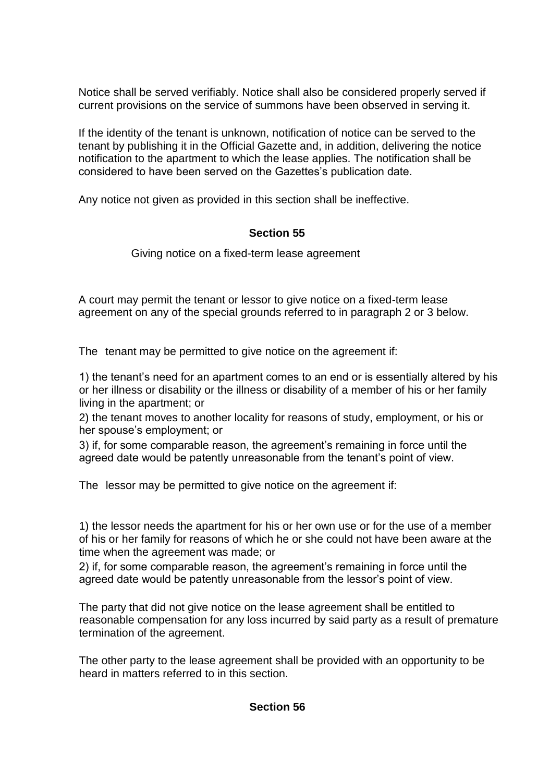Notice shall be served verifiably. Notice shall also be considered properly served if current provisions on the service of summons have been observed in serving it.

If the identity of the tenant is unknown, notification of notice can be served to the tenant by publishing it in the Official Gazette and, in addition, delivering the notice notification to the apartment to which the lease applies. The notification shall be considered to have been served on the Gazettes's publication date.

Any notice not given as provided in this section shall be ineffective.

## **Section 55**

Giving notice on a fixed-term lease agreement

A court may permit the tenant or lessor to give notice on a fixed-term lease agreement on any of the special grounds referred to in paragraph 2 or 3 below.

The tenant may be permitted to give notice on the agreement if:

1) the tenant's need for an apartment comes to an end or is essentially altered by his or her illness or disability or the illness or disability of a member of his or her family living in the apartment; or

2) the tenant moves to another locality for reasons of study, employment, or his or her spouse's employment; or

3) if, for some comparable reason, the agreement's remaining in force until the agreed date would be patently unreasonable from the tenant's point of view.

The lessor may be permitted to give notice on the agreement if:

1) the lessor needs the apartment for his or her own use or for the use of a member of his or her family for reasons of which he or she could not have been aware at the time when the agreement was made; or

2) if, for some comparable reason, the agreement's remaining in force until the agreed date would be patently unreasonable from the lessor's point of view.

The party that did not give notice on the lease agreement shall be entitled to reasonable compensation for any loss incurred by said party as a result of premature termination of the agreement.

The other party to the lease agreement shall be provided with an opportunity to be heard in matters referred to in this section.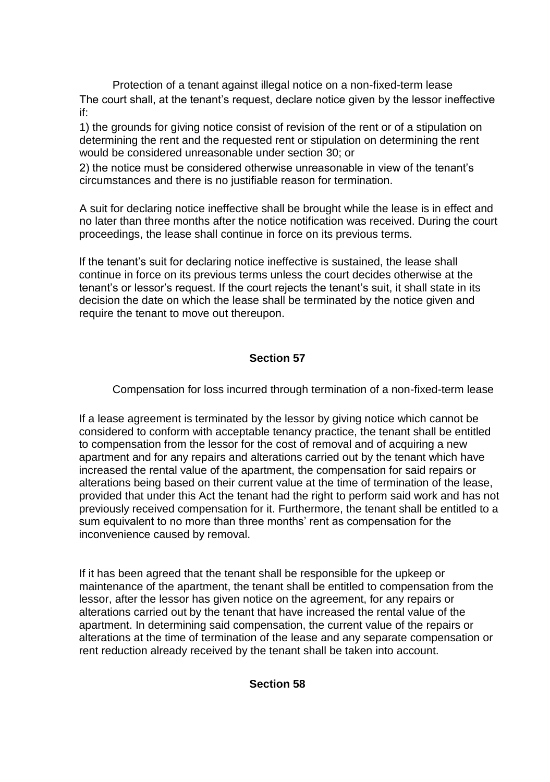Protection of a tenant against illegal notice on a non-fixed-term lease The court shall, at the tenant's request, declare notice given by the lessor ineffective if:

1) the grounds for giving notice consist of revision of the rent or of a stipulation on determining the rent and the requested rent or stipulation on determining the rent would be considered unreasonable under section 30; or

2) the notice must be considered otherwise unreasonable in view of the tenant's circumstances and there is no justifiable reason for termination.

A suit for declaring notice ineffective shall be brought while the lease is in effect and no later than three months after the notice notification was received. During the court proceedings, the lease shall continue in force on its previous terms.

If the tenant's suit for declaring notice ineffective is sustained, the lease shall continue in force on its previous terms unless the court decides otherwise at the tenant's or lessor's request. If the court rejects the tenant's suit, it shall state in its decision the date on which the lease shall be terminated by the notice given and require the tenant to move out thereupon.

## **Section 57**

Compensation for loss incurred through termination of a non-fixed-term lease

If a lease agreement is terminated by the lessor by giving notice which cannot be considered to conform with acceptable tenancy practice, the tenant shall be entitled to compensation from the lessor for the cost of removal and of acquiring a new apartment and for any repairs and alterations carried out by the tenant which have increased the rental value of the apartment, the compensation for said repairs or alterations being based on their current value at the time of termination of the lease, provided that under this Act the tenant had the right to perform said work and has not previously received compensation for it. Furthermore, the tenant shall be entitled to a sum equivalent to no more than three months' rent as compensation for the inconvenience caused by removal.

If it has been agreed that the tenant shall be responsible for the upkeep or maintenance of the apartment, the tenant shall be entitled to compensation from the lessor, after the lessor has given notice on the agreement, for any repairs or alterations carried out by the tenant that have increased the rental value of the apartment. In determining said compensation, the current value of the repairs or alterations at the time of termination of the lease and any separate compensation or rent reduction already received by the tenant shall be taken into account.

### **Section 58**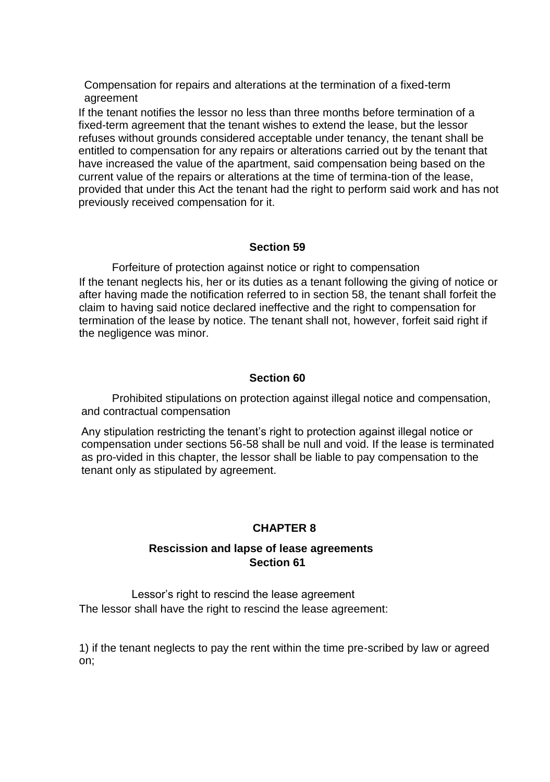Compensation for repairs and alterations at the termination of a fixed-term agreement

If the tenant notifies the lessor no less than three months before termination of a fixed-term agreement that the tenant wishes to extend the lease, but the lessor refuses without grounds considered acceptable under tenancy, the tenant shall be entitled to compensation for any repairs or alterations carried out by the tenant that have increased the value of the apartment, said compensation being based on the current value of the repairs or alterations at the time of termina-tion of the lease, provided that under this Act the tenant had the right to perform said work and has not previously received compensation for it.

### **Section 59**

Forfeiture of protection against notice or right to compensation If the tenant neglects his, her or its duties as a tenant following the giving of notice or after having made the notification referred to in section 58, the tenant shall forfeit the claim to having said notice declared ineffective and the right to compensation for termination of the lease by notice. The tenant shall not, however, forfeit said right if the negligence was minor.

## **Section 60**

Prohibited stipulations on protection against illegal notice and compensation, and contractual compensation

Any stipulation restricting the tenant's right to protection against illegal notice or compensation under sections 56-58 shall be null and void. If the lease is terminated as pro-vided in this chapter, the lessor shall be liable to pay compensation to the tenant only as stipulated by agreement.

## **CHAPTER 8**

## **Rescission and lapse of lease agreements Section 61**

Lessor's right to rescind the lease agreement The lessor shall have the right to rescind the lease agreement:

1) if the tenant neglects to pay the rent within the time pre-scribed by law or agreed on;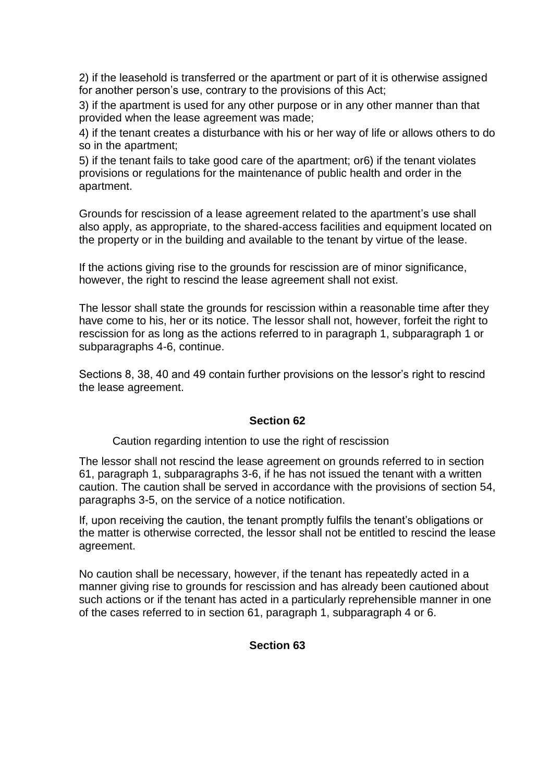2) if the leasehold is transferred or the apartment or part of it is otherwise assigned for another person's use, contrary to the provisions of this Act;

3) if the apartment is used for any other purpose or in any other manner than that provided when the lease agreement was made;

4) if the tenant creates a disturbance with his or her way of life or allows others to do so in the apartment;

5) if the tenant fails to take good care of the apartment; or6) if the tenant violates provisions or regulations for the maintenance of public health and order in the apartment.

Grounds for rescission of a lease agreement related to the apartment's use shall also apply, as appropriate, to the shared-access facilities and equipment located on the property or in the building and available to the tenant by virtue of the lease.

If the actions giving rise to the grounds for rescission are of minor significance, however, the right to rescind the lease agreement shall not exist.

The lessor shall state the grounds for rescission within a reasonable time after they have come to his, her or its notice. The lessor shall not, however, forfeit the right to rescission for as long as the actions referred to in paragraph 1, subparagraph 1 or subparagraphs 4-6, continue.

Sections 8, 38, 40 and 49 contain further provisions on the lessor's right to rescind the lease agreement.

### **Section 62**

Caution regarding intention to use the right of rescission

The lessor shall not rescind the lease agreement on grounds referred to in section 61, paragraph 1, subparagraphs 3-6, if he has not issued the tenant with a written caution. The caution shall be served in accordance with the provisions of section 54, paragraphs 3-5, on the service of a notice notification.

If, upon receiving the caution, the tenant promptly fulfils the tenant's obligations or the matter is otherwise corrected, the lessor shall not be entitled to rescind the lease agreement.

No caution shall be necessary, however, if the tenant has repeatedly acted in a manner giving rise to grounds for rescission and has already been cautioned about such actions or if the tenant has acted in a particularly reprehensible manner in one of the cases referred to in section 61, paragraph 1, subparagraph 4 or 6.

### **Section 63**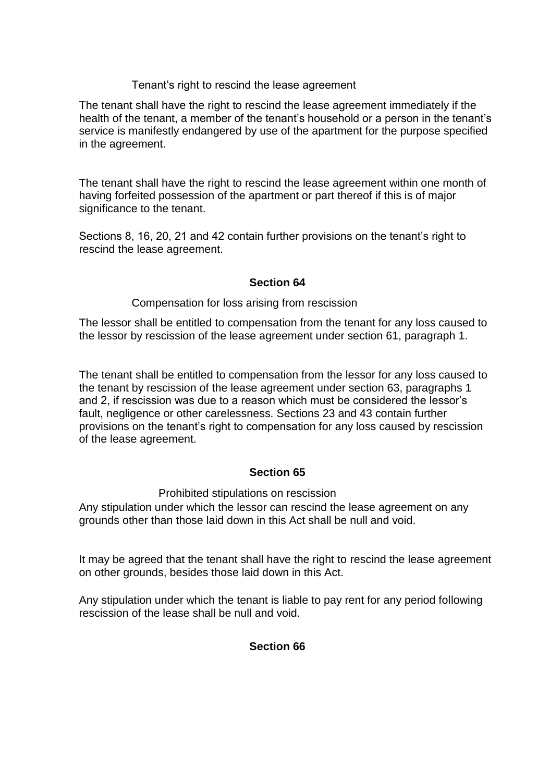### Tenant's right to rescind the lease agreement

The tenant shall have the right to rescind the lease agreement immediately if the health of the tenant, a member of the tenant's household or a person in the tenant's service is manifestly endangered by use of the apartment for the purpose specified in the agreement.

The tenant shall have the right to rescind the lease agreement within one month of having forfeited possession of the apartment or part thereof if this is of major significance to the tenant.

Sections 8, 16, 20, 21 and 42 contain further provisions on the tenant's right to rescind the lease agreement.

## **Section 64**

### Compensation for loss arising from rescission

The lessor shall be entitled to compensation from the tenant for any loss caused to the lessor by rescission of the lease agreement under section 61, paragraph 1.

The tenant shall be entitled to compensation from the lessor for any loss caused to the tenant by rescission of the lease agreement under section 63, paragraphs 1 and 2, if rescission was due to a reason which must be considered the lessor's fault, negligence or other carelessness. Sections 23 and 43 contain further provisions on the tenant's right to compensation for any loss caused by rescission of the lease agreement.

### **Section 65**

### Prohibited stipulations on rescission

Any stipulation under which the lessor can rescind the lease agreement on any grounds other than those laid down in this Act shall be null and void.

It may be agreed that the tenant shall have the right to rescind the lease agreement on other grounds, besides those laid down in this Act.

Any stipulation under which the tenant is liable to pay rent for any period following rescission of the lease shall be null and void.

### **Section 66**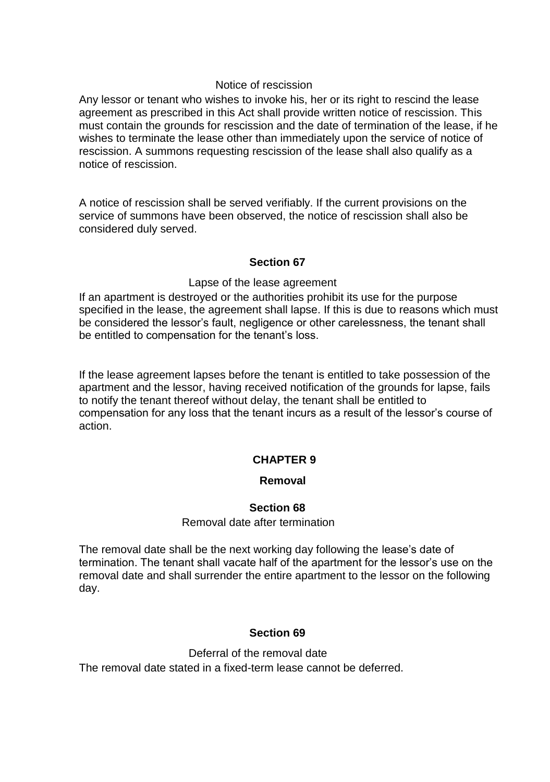### Notice of rescission

Any lessor or tenant who wishes to invoke his, her or its right to rescind the lease agreement as prescribed in this Act shall provide written notice of rescission. This must contain the grounds for rescission and the date of termination of the lease, if he wishes to terminate the lease other than immediately upon the service of notice of rescission. A summons requesting rescission of the lease shall also qualify as a notice of rescission.

A notice of rescission shall be served verifiably. If the current provisions on the service of summons have been observed, the notice of rescission shall also be considered duly served.

### **Section 67**

### Lapse of the lease agreement

If an apartment is destroyed or the authorities prohibit its use for the purpose specified in the lease, the agreement shall lapse. If this is due to reasons which must be considered the lessor's fault, negligence or other carelessness, the tenant shall be entitled to compensation for the tenant's loss.

If the lease agreement lapses before the tenant is entitled to take possession of the apartment and the lessor, having received notification of the grounds for lapse, fails to notify the tenant thereof without delay, the tenant shall be entitled to compensation for any loss that the tenant incurs as a result of the lessor's course of action.

### **CHAPTER 9**

### **Removal**

### **Section 68**

#### Removal date after termination

The removal date shall be the next working day following the lease's date of termination. The tenant shall vacate half of the apartment for the lessor's use on the removal date and shall surrender the entire apartment to the lessor on the following day.

### **Section 69**

Deferral of the removal date The removal date stated in a fixed-term lease cannot be deferred.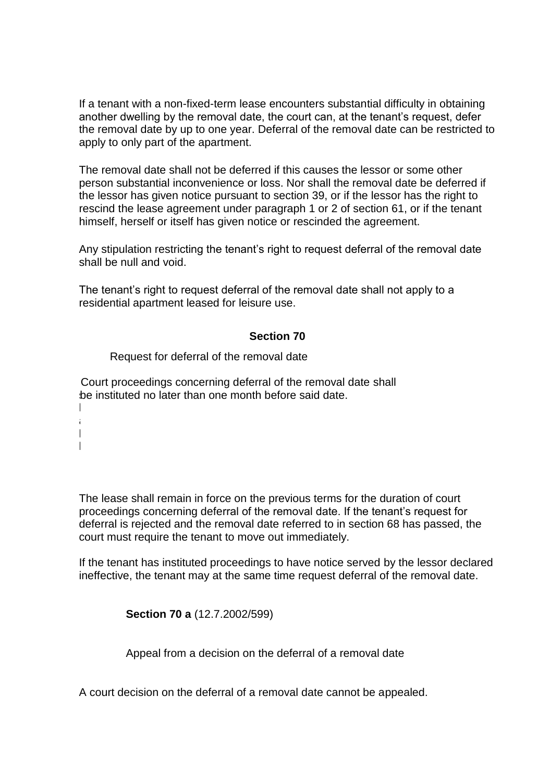If a tenant with a non-fixed-term lease encounters substantial difficulty in obtaining another dwelling by the removal date, the court can, at the tenant's request, defer the removal date by up to one year. Deferral of the removal date can be restricted to apply to only part of the apartment.

The removal date shall not be deferred if this causes the lessor or some other person substantial inconvenience or loss. Nor shall the removal date be deferred if the lessor has given notice pursuant to section 39, or if the lessor has the right to rescind the lease agreement under paragraph 1 or 2 of section 61, or if the tenant himself, herself or itself has given notice or rescinded the agreement.

Any stipulation restricting the tenant's right to request deferral of the removal date shall be null and void.

The tenant's right to request deferral of the removal date shall not apply to a residential apartment leased for leisure use.

### **Section 70**

Request for deferral of the removal date

Court proceedings concerning deferral of the removal date shall be instituted no later than one month before said date.

 $\parallel$ a l l

> The lease shall remain in force on the previous terms for the duration of court proceedings concerning deferral of the removal date. If the tenant's request for deferral is rejected and the removal date referred to in section 68 has passed, the court must require the tenant to move out immediately.

If the tenant has instituted proceedings to have notice served by the lessor declared ineffective, the tenant may at the same time request deferral of the removal date.

**Section 70 a** (12.7.2002/599)

Appeal from a decision on the deferral of a removal date

A court decision on the deferral of a removal date cannot be appealed.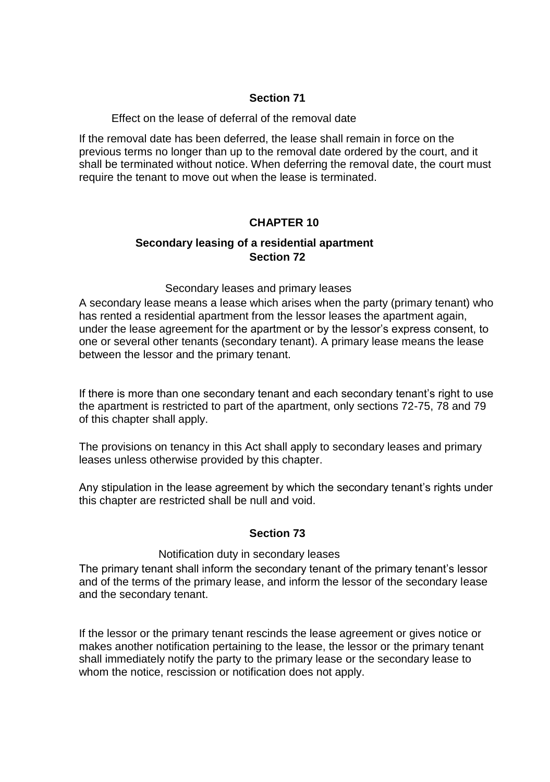### **Section 71**

#### Effect on the lease of deferral of the removal date

If the removal date has been deferred, the lease shall remain in force on the previous terms no longer than up to the removal date ordered by the court, and it shall be terminated without notice. When deferring the removal date, the court must require the tenant to move out when the lease is terminated.

## **CHAPTER 10**

## **Secondary leasing of a residential apartment Section 72**

### Secondary leases and primary leases

A secondary lease means a lease which arises when the party (primary tenant) who has rented a residential apartment from the lessor leases the apartment again, under the lease agreement for the apartment or by the lessor's express consent, to one or several other tenants (secondary tenant). A primary lease means the lease between the lessor and the primary tenant.

If there is more than one secondary tenant and each secondary tenant's right to use the apartment is restricted to part of the apartment, only sections 72-75, 78 and 79 of this chapter shall apply.

The provisions on tenancy in this Act shall apply to secondary leases and primary leases unless otherwise provided by this chapter.

Any stipulation in the lease agreement by which the secondary tenant's rights under this chapter are restricted shall be null and void.

### **Section 73**

#### Notification duty in secondary leases

The primary tenant shall inform the secondary tenant of the primary tenant's lessor and of the terms of the primary lease, and inform the lessor of the secondary lease and the secondary tenant.

If the lessor or the primary tenant rescinds the lease agreement or gives notice or makes another notification pertaining to the lease, the lessor or the primary tenant shall immediately notify the party to the primary lease or the secondary lease to whom the notice, rescission or notification does not apply.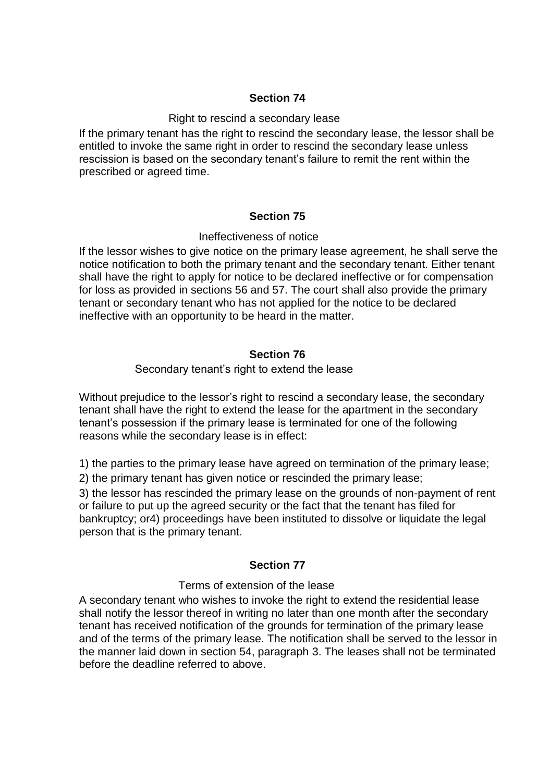### **Section 74**

#### Right to rescind a secondary lease

If the primary tenant has the right to rescind the secondary lease, the lessor shall be entitled to invoke the same right in order to rescind the secondary lease unless rescission is based on the secondary tenant's failure to remit the rent within the prescribed or agreed time.

### **Section 75**

### Ineffectiveness of notice

If the lessor wishes to give notice on the primary lease agreement, he shall serve the notice notification to both the primary tenant and the secondary tenant. Either tenant shall have the right to apply for notice to be declared ineffective or for compensation for loss as provided in sections 56 and 57. The court shall also provide the primary tenant or secondary tenant who has not applied for the notice to be declared ineffective with an opportunity to be heard in the matter.

### **Section 76**

### Secondary tenant's right to extend the lease

Without prejudice to the lessor's right to rescind a secondary lease, the secondary tenant shall have the right to extend the lease for the apartment in the secondary tenant's possession if the primary lease is terminated for one of the following reasons while the secondary lease is in effect:

1) the parties to the primary lease have agreed on termination of the primary lease;

2) the primary tenant has given notice or rescinded the primary lease;

3) the lessor has rescinded the primary lease on the grounds of non-payment of rent or failure to put up the agreed security or the fact that the tenant has filed for bankruptcy; or4) proceedings have been instituted to dissolve or liquidate the legal person that is the primary tenant.

### **Section 77**

#### Terms of extension of the lease

A secondary tenant who wishes to invoke the right to extend the residential lease shall notify the lessor thereof in writing no later than one month after the secondary tenant has received notification of the grounds for termination of the primary lease and of the terms of the primary lease. The notification shall be served to the lessor in the manner laid down in section 54, paragraph 3. The leases shall not be terminated before the deadline referred to above.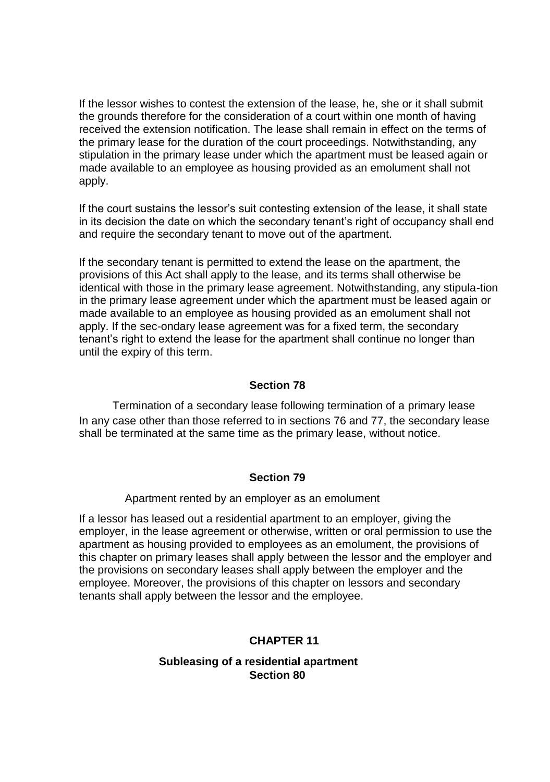If the lessor wishes to contest the extension of the lease, he, she or it shall submit the grounds therefore for the consideration of a court within one month of having received the extension notification. The lease shall remain in effect on the terms of the primary lease for the duration of the court proceedings. Notwithstanding, any stipulation in the primary lease under which the apartment must be leased again or made available to an employee as housing provided as an emolument shall not apply.

If the court sustains the lessor's suit contesting extension of the lease, it shall state in its decision the date on which the secondary tenant's right of occupancy shall end and require the secondary tenant to move out of the apartment.

If the secondary tenant is permitted to extend the lease on the apartment, the provisions of this Act shall apply to the lease, and its terms shall otherwise be identical with those in the primary lease agreement. Notwithstanding, any stipula-tion in the primary lease agreement under which the apartment must be leased again or made available to an employee as housing provided as an emolument shall not apply. If the sec-ondary lease agreement was for a fixed term, the secondary tenant's right to extend the lease for the apartment shall continue no longer than until the expiry of this term.

### **Section 78**

Termination of a secondary lease following termination of a primary lease In any case other than those referred to in sections 76 and 77, the secondary lease shall be terminated at the same time as the primary lease, without notice.

#### **Section 79**

Apartment rented by an employer as an emolument

If a lessor has leased out a residential apartment to an employer, giving the employer, in the lease agreement or otherwise, written or oral permission to use the apartment as housing provided to employees as an emolument, the provisions of this chapter on primary leases shall apply between the lessor and the employer and the provisions on secondary leases shall apply between the employer and the employee. Moreover, the provisions of this chapter on lessors and secondary tenants shall apply between the lessor and the employee.

### **CHAPTER 11**

### **Subleasing of a residential apartment Section 80**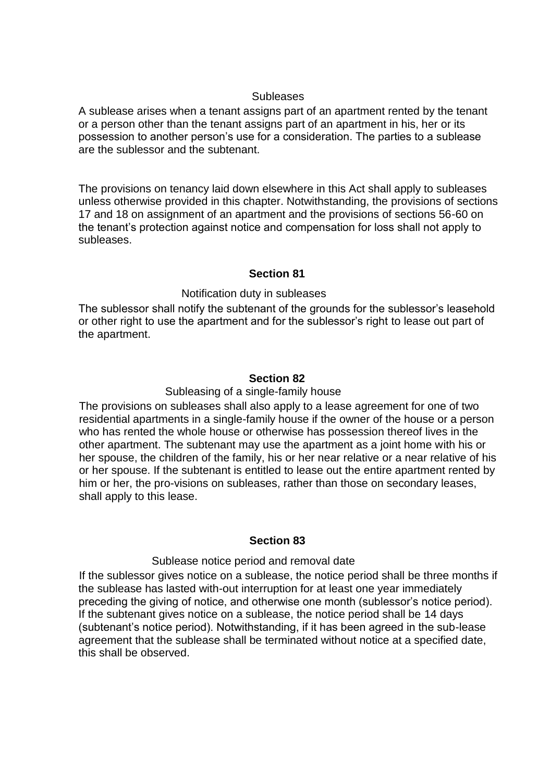#### **Subleases**

A sublease arises when a tenant assigns part of an apartment rented by the tenant or a person other than the tenant assigns part of an apartment in his, her or its possession to another person's use for a consideration. The parties to a sublease are the sublessor and the subtenant.

The provisions on tenancy laid down elsewhere in this Act shall apply to subleases unless otherwise provided in this chapter. Notwithstanding, the provisions of sections 17 and 18 on assignment of an apartment and the provisions of sections 56-60 on the tenant's protection against notice and compensation for loss shall not apply to subleases.

### **Section 81**

### Notification duty in subleases

The sublessor shall notify the subtenant of the grounds for the sublessor's leasehold or other right to use the apartment and for the sublessor's right to lease out part of the apartment.

### **Section 82**

#### Subleasing of a single-family house

The provisions on subleases shall also apply to a lease agreement for one of two residential apartments in a single-family house if the owner of the house or a person who has rented the whole house or otherwise has possession thereof lives in the other apartment. The subtenant may use the apartment as a joint home with his or her spouse, the children of the family, his or her near relative or a near relative of his or her spouse. If the subtenant is entitled to lease out the entire apartment rented by him or her, the pro-visions on subleases, rather than those on secondary leases, shall apply to this lease.

#### **Section 83**

#### Sublease notice period and removal date

If the sublessor gives notice on a sublease, the notice period shall be three months if the sublease has lasted with-out interruption for at least one year immediately preceding the giving of notice, and otherwise one month (sublessor's notice period). If the subtenant gives notice on a sublease, the notice period shall be 14 days (subtenant's notice period). Notwithstanding, if it has been agreed in the sub-lease agreement that the sublease shall be terminated without notice at a specified date, this shall be observed.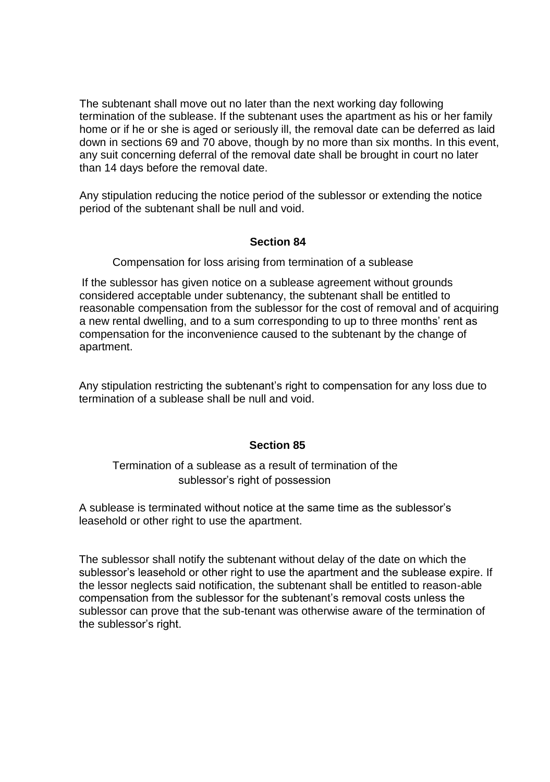The subtenant shall move out no later than the next working day following termination of the sublease. If the subtenant uses the apartment as his or her family home or if he or she is aged or seriously ill, the removal date can be deferred as laid down in sections 69 and 70 above, though by no more than six months. In this event, any suit concerning deferral of the removal date shall be brought in court no later than 14 days before the removal date.

Any stipulation reducing the notice period of the sublessor or extending the notice period of the subtenant shall be null and void.

### **Section 84**

Compensation for loss arising from termination of a sublease

If the sublessor has given notice on a sublease agreement without grounds considered acceptable under subtenancy, the subtenant shall be entitled to reasonable compensation from the sublessor for the cost of removal and of acquiring a new rental dwelling, and to a sum corresponding to up to three months' rent as compensation for the inconvenience caused to the subtenant by the change of apartment.

Any stipulation restricting the subtenant's right to compensation for any loss due to termination of a sublease shall be null and void.

## **Section 85**

Termination of a sublease as a result of termination of the sublessor's right of possession

A sublease is terminated without notice at the same time as the sublessor's leasehold or other right to use the apartment.

The sublessor shall notify the subtenant without delay of the date on which the sublessor's leasehold or other right to use the apartment and the sublease expire. If the lessor neglects said notification, the subtenant shall be entitled to reason-able compensation from the sublessor for the subtenant's removal costs unless the sublessor can prove that the sub-tenant was otherwise aware of the termination of the sublessor's right.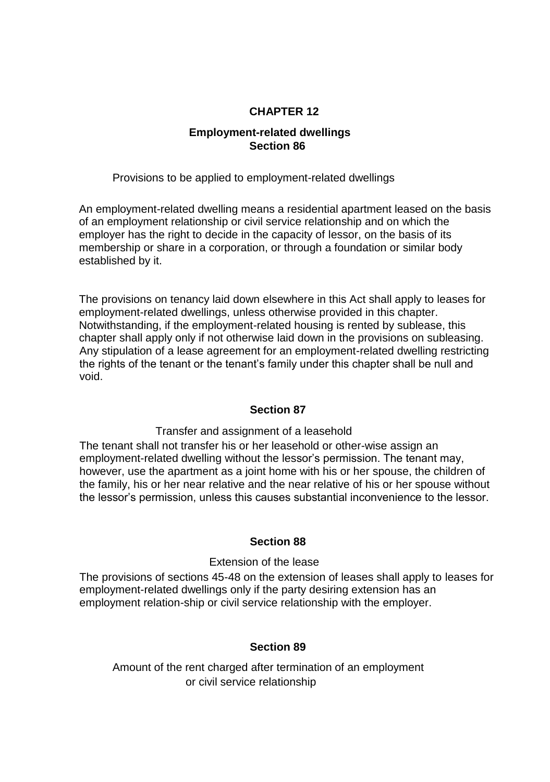## **CHAPTER 12**

## **Employment-related dwellings Section 86**

Provisions to be applied to employment-related dwellings

An employment-related dwelling means a residential apartment leased on the basis of an employment relationship or civil service relationship and on which the employer has the right to decide in the capacity of lessor, on the basis of its membership or share in a corporation, or through a foundation or similar body established by it.

The provisions on tenancy laid down elsewhere in this Act shall apply to leases for employment-related dwellings, unless otherwise provided in this chapter. Notwithstanding, if the employment-related housing is rented by sublease, this chapter shall apply only if not otherwise laid down in the provisions on subleasing. Any stipulation of a lease agreement for an employment-related dwelling restricting the rights of the tenant or the tenant's family under this chapter shall be null and void.

### **Section 87**

Transfer and assignment of a leasehold

The tenant shall not transfer his or her leasehold or other-wise assign an employment-related dwelling without the lessor's permission. The tenant may, however, use the apartment as a joint home with his or her spouse, the children of the family, his or her near relative and the near relative of his or her spouse without the lessor's permission, unless this causes substantial inconvenience to the lessor.

### **Section 88**

### Extension of the lease

The provisions of sections 45-48 on the extension of leases shall apply to leases for employment-related dwellings only if the party desiring extension has an employment relation-ship or civil service relationship with the employer.

### **Section 89**

Amount of the rent charged after termination of an employment or civil service relationship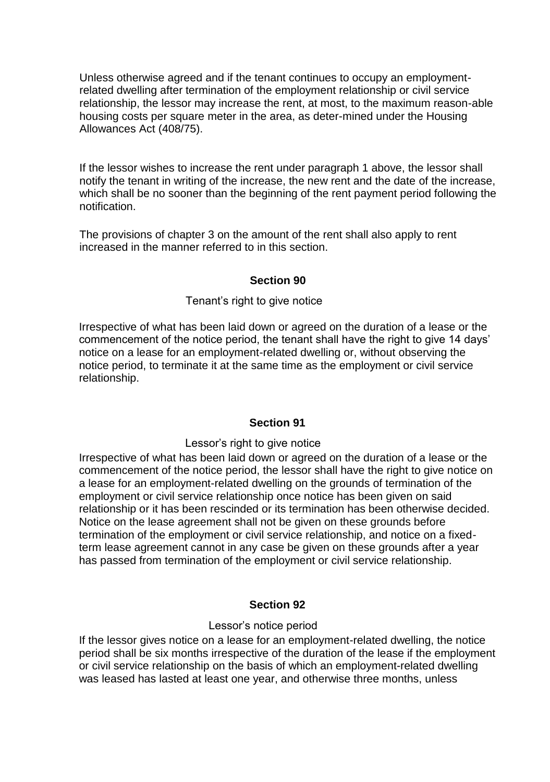Unless otherwise agreed and if the tenant continues to occupy an employmentrelated dwelling after termination of the employment relationship or civil service relationship, the lessor may increase the rent, at most, to the maximum reason-able housing costs per square meter in the area, as deter-mined under the Housing Allowances Act (408/75).

If the lessor wishes to increase the rent under paragraph 1 above, the lessor shall notify the tenant in writing of the increase, the new rent and the date of the increase, which shall be no sooner than the beginning of the rent payment period following the notification.

The provisions of chapter 3 on the amount of the rent shall also apply to rent increased in the manner referred to in this section.

### **Section 90**

### Tenant's right to give notice

Irrespective of what has been laid down or agreed on the duration of a lease or the commencement of the notice period, the tenant shall have the right to give 14 days' notice on a lease for an employment-related dwelling or, without observing the notice period, to terminate it at the same time as the employment or civil service relationship.

### **Section 91**

#### Lessor's right to give notice

Irrespective of what has been laid down or agreed on the duration of a lease or the commencement of the notice period, the lessor shall have the right to give notice on a lease for an employment-related dwelling on the grounds of termination of the employment or civil service relationship once notice has been given on said relationship or it has been rescinded or its termination has been otherwise decided. Notice on the lease agreement shall not be given on these grounds before termination of the employment or civil service relationship, and notice on a fixedterm lease agreement cannot in any case be given on these grounds after a year has passed from termination of the employment or civil service relationship.

### **Section 92**

#### Lessor's notice period

If the lessor gives notice on a lease for an employment-related dwelling, the notice period shall be six months irrespective of the duration of the lease if the employment or civil service relationship on the basis of which an employment-related dwelling was leased has lasted at least one year, and otherwise three months, unless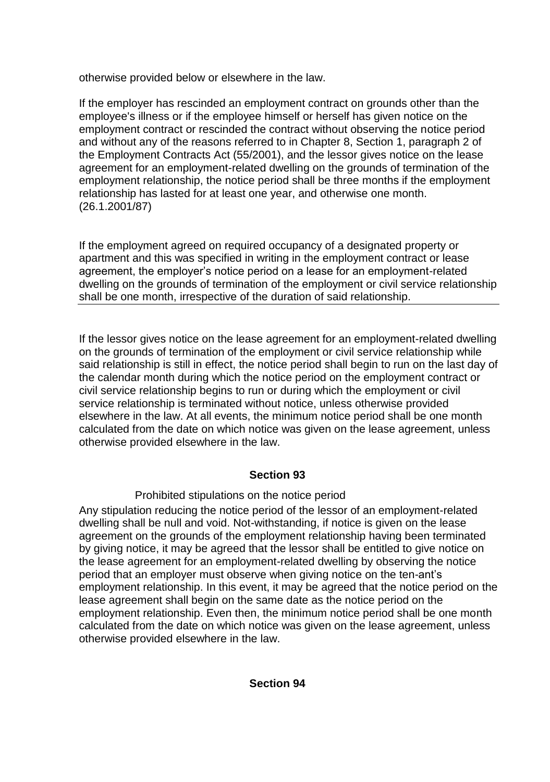otherwise provided below or elsewhere in the law.

If the employer has rescinded an employment contract on grounds other than the employee's illness or if the employee himself or herself has given notice on the employment contract or rescinded the contract without observing the notice period and without any of the reasons referred to in Chapter 8, Section 1, paragraph 2 of the Employment Contracts Act (55/2001), and the lessor gives notice on the lease agreement for an employment-related dwelling on the grounds of termination of the employment relationship, the notice period shall be three months if the employment relationship has lasted for at least one year, and otherwise one month. (26.1.2001/87)

If the employment agreed on required occupancy of a designated property or apartment and this was specified in writing in the employment contract or lease agreement, the employer's notice period on a lease for an employment-related dwelling on the grounds of termination of the employment or civil service relationship shall be one month, irrespective of the duration of said relationship.

If the lessor gives notice on the lease agreement for an employment-related dwelling on the grounds of termination of the employment or civil service relationship while said relationship is still in effect, the notice period shall begin to run on the last day of the calendar month during which the notice period on the employment contract or civil service relationship begins to run or during which the employment or civil service relationship is terminated without notice, unless otherwise provided elsewhere in the law. At all events, the minimum notice period shall be one month calculated from the date on which notice was given on the lease agreement, unless otherwise provided elsewhere in the law.

## **Section 93**

## Prohibited stipulations on the notice period

Any stipulation reducing the notice period of the lessor of an employment-related dwelling shall be null and void. Not-withstanding, if notice is given on the lease agreement on the grounds of the employment relationship having been terminated by giving notice, it may be agreed that the lessor shall be entitled to give notice on the lease agreement for an employment-related dwelling by observing the notice period that an employer must observe when giving notice on the ten-ant's employment relationship. In this event, it may be agreed that the notice period on the lease agreement shall begin on the same date as the notice period on the employment relationship. Even then, the minimum notice period shall be one month calculated from the date on which notice was given on the lease agreement, unless otherwise provided elsewhere in the law.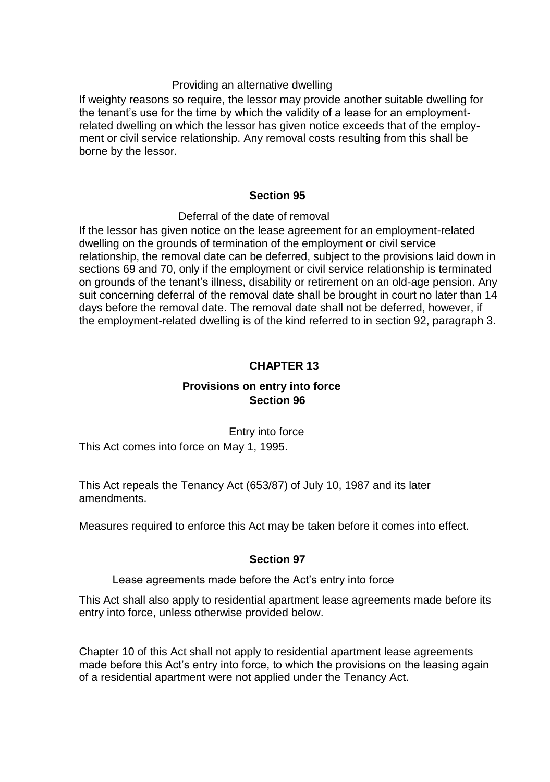### Providing an alternative dwelling

If weighty reasons so require, the lessor may provide another suitable dwelling for the tenant's use for the time by which the validity of a lease for an employmentrelated dwelling on which the lessor has given notice exceeds that of the employment or civil service relationship. Any removal costs resulting from this shall be borne by the lessor.

### **Section 95**

#### Deferral of the date of removal

If the lessor has given notice on the lease agreement for an employment-related dwelling on the grounds of termination of the employment or civil service relationship, the removal date can be deferred, subject to the provisions laid down in sections 69 and 70, only if the employment or civil service relationship is terminated on grounds of the tenant's illness, disability or retirement on an old-age pension. Any suit concerning deferral of the removal date shall be brought in court no later than 14 days before the removal date. The removal date shall not be deferred, however, if the employment-related dwelling is of the kind referred to in section 92, paragraph 3.

## **CHAPTER 13**

## **Provisions on entry into force Section 96**

Entry into force

This Act comes into force on May 1, 1995.

This Act repeals the Tenancy Act (653/87) of July 10, 1987 and its later amendments.

Measures required to enforce this Act may be taken before it comes into effect.

### **Section 97**

#### Lease agreements made before the Act's entry into force

This Act shall also apply to residential apartment lease agreements made before its entry into force, unless otherwise provided below.

Chapter 10 of this Act shall not apply to residential apartment lease agreements made before this Act's entry into force, to which the provisions on the leasing again of a residential apartment were not applied under the Tenancy Act.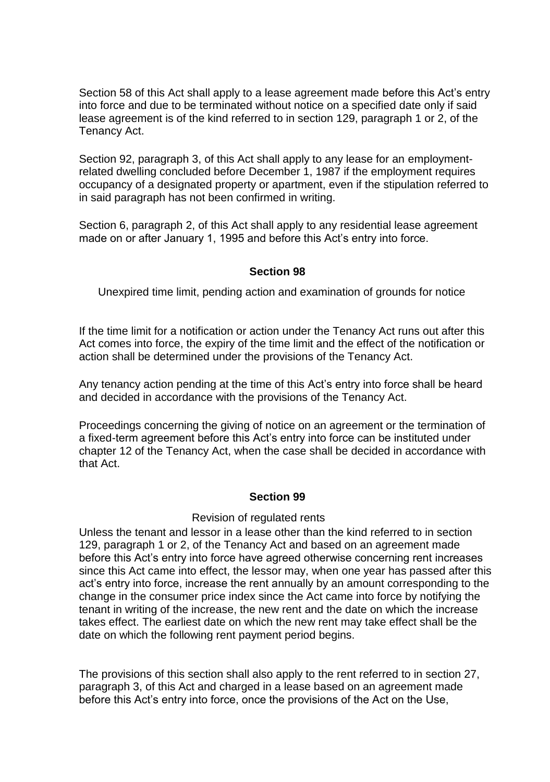Section 58 of this Act shall apply to a lease agreement made before this Act's entry into force and due to be terminated without notice on a specified date only if said lease agreement is of the kind referred to in section 129, paragraph 1 or 2, of the Tenancy Act.

Section 92, paragraph 3, of this Act shall apply to any lease for an employmentrelated dwelling concluded before December 1, 1987 if the employment requires occupancy of a designated property or apartment, even if the stipulation referred to in said paragraph has not been confirmed in writing.

Section 6, paragraph 2, of this Act shall apply to any residential lease agreement made on or after January 1, 1995 and before this Act's entry into force.

### **Section 98**

Unexpired time limit, pending action and examination of grounds for notice

If the time limit for a notification or action under the Tenancy Act runs out after this Act comes into force, the expiry of the time limit and the effect of the notification or action shall be determined under the provisions of the Tenancy Act.

Any tenancy action pending at the time of this Act's entry into force shall be heard and decided in accordance with the provisions of the Tenancy Act.

Proceedings concerning the giving of notice on an agreement or the termination of a fixed-term agreement before this Act's entry into force can be instituted under chapter 12 of the Tenancy Act, when the case shall be decided in accordance with that Act.

#### **Section 99**

#### Revision of regulated rents

Unless the tenant and lessor in a lease other than the kind referred to in section 129, paragraph 1 or 2, of the Tenancy Act and based on an agreement made before this Act's entry into force have agreed otherwise concerning rent increases since this Act came into effect, the lessor may, when one year has passed after this act's entry into force, increase the rent annually by an amount corresponding to the change in the consumer price index since the Act came into force by notifying the tenant in writing of the increase, the new rent and the date on which the increase takes effect. The earliest date on which the new rent may take effect shall be the date on which the following rent payment period begins.

The provisions of this section shall also apply to the rent referred to in section 27, paragraph 3, of this Act and charged in a lease based on an agreement made before this Act's entry into force, once the provisions of the Act on the Use,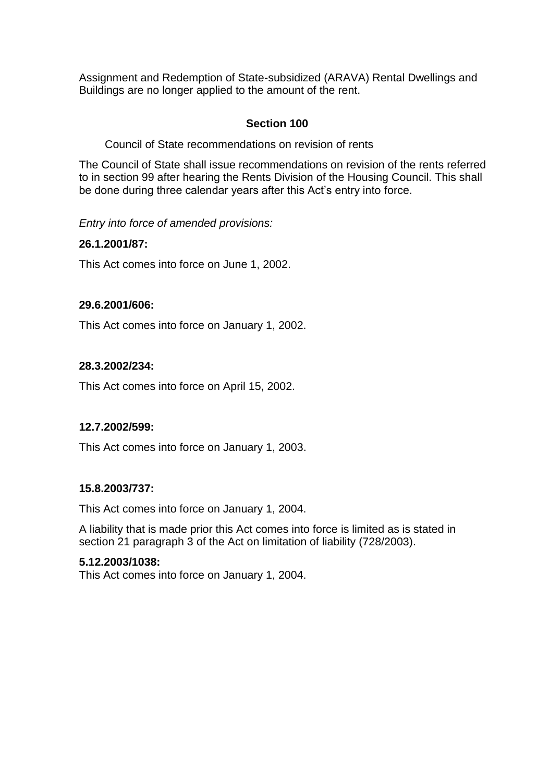Assignment and Redemption of State-subsidized (ARAVA) Rental Dwellings and Buildings are no longer applied to the amount of the rent.

## **Section 100**

Council of State recommendations on revision of rents

The Council of State shall issue recommendations on revision of the rents referred to in section 99 after hearing the Rents Division of the Housing Council. This shall be done during three calendar years after this Act's entry into force.

*Entry into force of amended provisions:*

## **26.1.2001/87:**

This Act comes into force on June 1, 2002.

### **29.6.2001/606:**

This Act comes into force on January 1, 2002.

## **28.3.2002/234:**

This Act comes into force on April 15, 2002.

### **12.7.2002/599:**

This Act comes into force on January 1, 2003.

### **15.8.2003/737:**

This Act comes into force on January 1, 2004.

A liability that is made prior this Act comes into force is limited as is stated in section 21 paragraph 3 of the Act on limitation of liability (728/2003).

### **5.12.2003/1038:**

This Act comes into force on January 1, 2004.